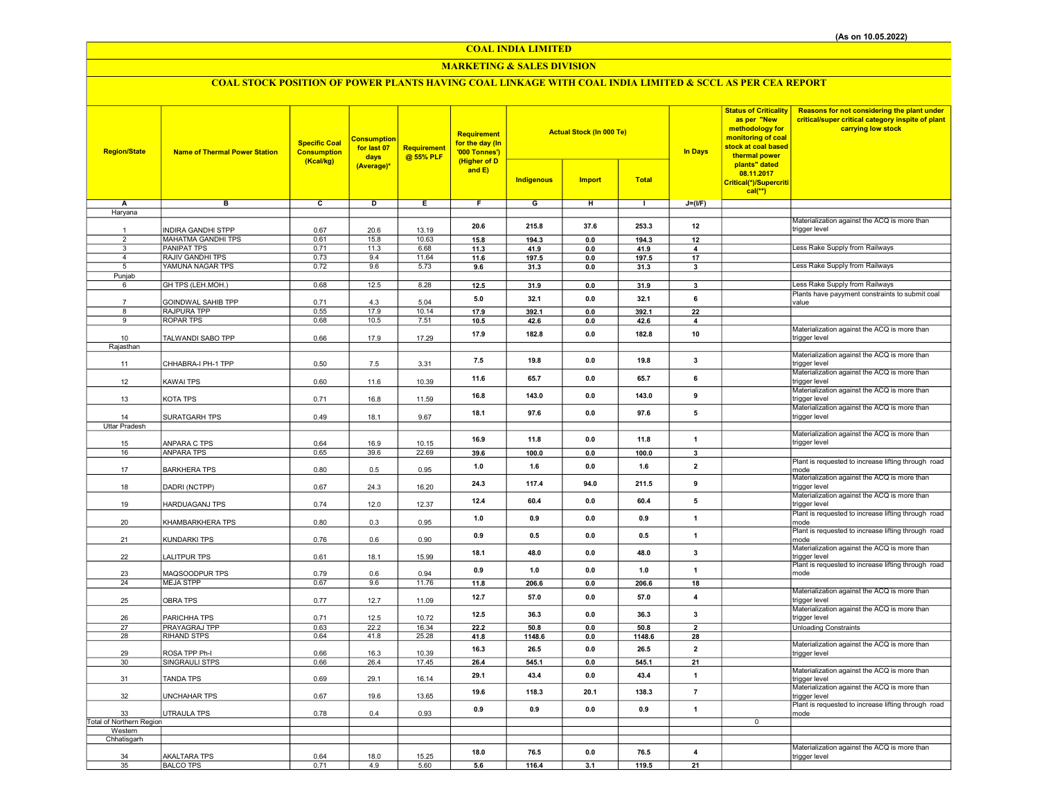## COAL INDIA LIMITED

## MARKETING & SALES DIVISION

# COAL STOCK POSITION OF POWER PLANTS HAVING COAL LINKAGE WITH COAL INDIA LIMITED & SCCL AS PER CEA REPORT

| <b>Region/State</b>            | <b>Name of Thermal Power Station</b>                   | <b>Specific Coal</b><br><b>Consumption</b><br>(Kcal/kg) | <b>Consumption</b><br>for last 07<br>days<br>(Average)* | <b>Requirement</b><br>@ 55% PLF | Requirement<br>for the day (In<br>'000 Tonnes')<br>(Higher of D<br>and $E$ ) | <b>Actual Stock (In 000 Te)</b><br><b>Indigenous</b><br><b>Import</b><br><b>Total</b> |                       |               | <b>In Days</b>          | <b>Status of Criticality</b><br>as per "New<br>methodology for<br>monitoring of coal<br>stock at coal based<br>thermal power<br>plants" dated<br>08.11.2017<br>Critical(*)/Supercriti | Reasons for not considering the plant under<br>critical/super critical category inspite of plant<br>carrying low stock |
|--------------------------------|--------------------------------------------------------|---------------------------------------------------------|---------------------------------------------------------|---------------------------------|------------------------------------------------------------------------------|---------------------------------------------------------------------------------------|-----------------------|---------------|-------------------------|---------------------------------------------------------------------------------------------------------------------------------------------------------------------------------------|------------------------------------------------------------------------------------------------------------------------|
|                                |                                                        |                                                         |                                                         |                                 |                                                                              |                                                                                       |                       |               |                         | $cal(**)$                                                                                                                                                                             |                                                                                                                        |
| Α                              | в                                                      | c                                                       | D                                                       | Ε                               | F                                                                            | G                                                                                     | н                     | $\mathbf{L}$  | $J=(I/F)$               |                                                                                                                                                                                       |                                                                                                                        |
| Haryana                        |                                                        |                                                         |                                                         |                                 |                                                                              |                                                                                       |                       |               |                         |                                                                                                                                                                                       |                                                                                                                        |
|                                |                                                        |                                                         |                                                         |                                 | 20.6                                                                         | 215.8                                                                                 | 37.6                  | 253.3         | 12                      |                                                                                                                                                                                       | Materialization against the ACQ is more than                                                                           |
| $\mathbf{1}$<br>$\overline{2}$ | <b>INDIRA GANDHI STPP</b><br><b>MAHATMA GANDHI TPS</b> | 0.67<br>0.61                                            | 20.6<br>15.8                                            | 13.19<br>10.63                  |                                                                              |                                                                                       |                       |               |                         |                                                                                                                                                                                       | trigger level                                                                                                          |
| $\overline{\mathbf{3}}$        | <b>PANIPAT TPS</b>                                     | 0.71                                                    | 11.3                                                    | 6.68                            | 15.8<br>11.3                                                                 | 194.3<br>41.9                                                                         | $\mathbf{0.0}$<br>0.0 | 194.3<br>41.9 | 12<br>4                 |                                                                                                                                                                                       | Less Rake Supply from Railways                                                                                         |
| $\overline{4}$                 | RAJIV GANDHI TPS                                       | 0.73                                                    | 9.4                                                     | 11.64                           | 11.6                                                                         | 197.5                                                                                 | 0.0                   | 197.5         | 17                      |                                                                                                                                                                                       |                                                                                                                        |
| 5                              | YAMUNA NAGAR TPS                                       | 0.72                                                    | 9.6                                                     | 5.73                            | 9.6                                                                          | 31.3                                                                                  | 0.0                   | 31.3          | 3                       |                                                                                                                                                                                       | Less Rake Supply from Railways                                                                                         |
| Punjab                         |                                                        |                                                         |                                                         |                                 |                                                                              |                                                                                       |                       |               |                         |                                                                                                                                                                                       |                                                                                                                        |
| 6                              | GH TPS (LEH.MOH.)                                      | 0.68                                                    | 12.5                                                    | 8.28                            | 12.5                                                                         | 31.9                                                                                  | $\mathbf{0.0}$        | 31.9          | $\overline{\mathbf{3}}$ |                                                                                                                                                                                       | Less Rake Supply from Railways                                                                                         |
|                                | GOINDWAL SAHIB TPP                                     | 0.71                                                    | 4.3                                                     | 5.04                            | 5.0                                                                          | 32.1                                                                                  | 0.0                   | 32.1          | 6                       |                                                                                                                                                                                       | Plants have payyment constraints to submit coal<br>value                                                               |
| 8                              | RAJPURA TPP                                            | 0.55                                                    | 17.9                                                    | 10.14                           | 17.9                                                                         | 392.1                                                                                 | 0.0                   | 392.1         | 22                      |                                                                                                                                                                                       |                                                                                                                        |
| 9                              | <b>ROPAR TPS</b>                                       | 0.68                                                    | 10.5                                                    | 7.51                            | 10.5                                                                         | 42.6                                                                                  | 0.0                   | 42.6          | $\overline{4}$          |                                                                                                                                                                                       |                                                                                                                        |
|                                |                                                        |                                                         |                                                         |                                 | 17.9                                                                         | 182.8                                                                                 | 0.0                   | 182.8         | 10                      |                                                                                                                                                                                       | Materialization against the ACQ is more than                                                                           |
| 10<br>Rajasthan                | TALWANDI SABO TPP                                      | 0.66                                                    | 17.9                                                    | 17.29                           |                                                                              |                                                                                       |                       |               |                         |                                                                                                                                                                                       | trigger level                                                                                                          |
|                                |                                                        |                                                         |                                                         |                                 |                                                                              |                                                                                       |                       |               |                         |                                                                                                                                                                                       | Materialization against the ACQ is more than                                                                           |
| 11                             | CHHABRA-I PH-1 TPP                                     | 0.50                                                    | 7.5                                                     | 3.31                            | 7.5                                                                          | 19.8                                                                                  | 0.0                   | 19.8          | 3                       |                                                                                                                                                                                       | trigger level                                                                                                          |
|                                |                                                        |                                                         |                                                         |                                 | 11.6                                                                         | 65.7                                                                                  | 0.0                   | 65.7          | 6                       |                                                                                                                                                                                       | Materialization against the ACQ is more than                                                                           |
| 12                             | <b>KAWAI TPS</b>                                       | 0.60                                                    | 11.6                                                    | 10.39                           |                                                                              |                                                                                       |                       |               |                         |                                                                                                                                                                                       | trigger level                                                                                                          |
| 13                             | KOTA TPS                                               | 0.71                                                    | 16.8                                                    |                                 | 16.8                                                                         | 143.0                                                                                 | 0.0                   | 143.0         | 9                       |                                                                                                                                                                                       | Materialization against the ACQ is more than<br>trigger level                                                          |
|                                |                                                        |                                                         |                                                         | 11.59                           |                                                                              |                                                                                       |                       |               |                         |                                                                                                                                                                                       | Materialization against the ACQ is more than                                                                           |
| 14                             | SURATGARH TPS                                          | 0.49                                                    | 18.1                                                    | 9.67                            | 18.1                                                                         | 97.6                                                                                  | 0.0                   | 97.6          | $\sqrt{5}$              |                                                                                                                                                                                       | trigger level                                                                                                          |
| <b>Uttar Pradesh</b>           |                                                        |                                                         |                                                         |                                 |                                                                              |                                                                                       |                       |               |                         |                                                                                                                                                                                       |                                                                                                                        |
|                                |                                                        |                                                         |                                                         |                                 | 16.9                                                                         | 11.8                                                                                  | 0.0                   | 11.8          | $\mathbf{1}$            |                                                                                                                                                                                       | Materialization against the ACQ is more than                                                                           |
| 15<br>16                       | ANPARA C TPS<br><b>ANPARA TPS</b>                      | 0.64<br>0.65                                            | 16.9<br>39.6                                            | 10.15<br>22.69                  |                                                                              |                                                                                       |                       |               | $\overline{\mathbf{3}}$ |                                                                                                                                                                                       | trigger level                                                                                                          |
|                                |                                                        |                                                         |                                                         |                                 | 39.6                                                                         | 100.0                                                                                 | $0.0\,$               | 100.0         |                         |                                                                                                                                                                                       | Plant is requested to increase lifting through road                                                                    |
| 17                             | <b>BARKHERA TPS</b>                                    | 0.80                                                    | 0.5                                                     | 0.95                            | 1.0                                                                          | 1.6                                                                                   | 0.0                   | 1.6           | $\overline{2}$          |                                                                                                                                                                                       | mode                                                                                                                   |
|                                |                                                        |                                                         |                                                         |                                 | 24.3                                                                         | 117.4                                                                                 | 94.0                  | 211.5         | 9                       |                                                                                                                                                                                       | Materialization against the ACQ is more than                                                                           |
| 18                             | DADRI (NCTPP)                                          | 0.67                                                    | 24.3                                                    | 16.20                           |                                                                              |                                                                                       |                       |               |                         |                                                                                                                                                                                       | trigger level                                                                                                          |
| 19                             | <b>HARDUAGANJ TPS</b>                                  | 0.74                                                    | 12.0                                                    | 12.37                           | 12.4                                                                         | 60.4                                                                                  | 0.0                   | 60.4          | 5                       |                                                                                                                                                                                       | Materialization against the ACQ is more than<br>trigger level                                                          |
|                                |                                                        |                                                         |                                                         |                                 |                                                                              |                                                                                       |                       |               |                         |                                                                                                                                                                                       | Plant is requested to increase lifting through road                                                                    |
| 20                             | KHAMBARKHERA TPS                                       | 0.80                                                    | 0.3                                                     | 0.95                            | 1.0                                                                          | 0.9                                                                                   | 0.0                   | 0.9           | $\overline{1}$          |                                                                                                                                                                                       | mode                                                                                                                   |
|                                |                                                        |                                                         |                                                         |                                 | 0.9                                                                          | 0.5                                                                                   | 0.0                   | 0.5           | $\overline{1}$          |                                                                                                                                                                                       | Plant is requested to increase lifting through road                                                                    |
| 21                             | KUNDARKI TPS                                           | 0.76                                                    | 0.6                                                     | 0.90                            |                                                                              |                                                                                       |                       |               |                         |                                                                                                                                                                                       | mode<br>Materialization against the ACQ is more than                                                                   |
| 22                             | <b>LALITPUR TPS</b>                                    | 0.61                                                    | 18.1                                                    | 15.99                           | 18.1                                                                         | 48.0                                                                                  | 0.0                   | 48.0          | $\overline{\mathbf{3}}$ |                                                                                                                                                                                       | trigger level                                                                                                          |
|                                |                                                        |                                                         |                                                         |                                 | 0.9                                                                          | 1.0                                                                                   | 0.0                   | 1.0           | $\mathbf{1}$            |                                                                                                                                                                                       | Plant is requested to increase lifting through road                                                                    |
| 23                             | MAQSOODPUR TPS                                         | 0.79                                                    | 0.6                                                     | 0.94                            |                                                                              |                                                                                       |                       |               |                         |                                                                                                                                                                                       | mode                                                                                                                   |
| 24                             | <b>MEJA STPP</b>                                       | 0.67                                                    | 9.6                                                     | 11.76                           | 11.8                                                                         | 206.6                                                                                 | 0.0                   | 206.6         | 18                      |                                                                                                                                                                                       | Materialization against the ACQ is more than                                                                           |
| 25                             | <b>OBRA TPS</b>                                        | 0.77                                                    | 12.7                                                    | 11.09                           | 12.7                                                                         | 57.0                                                                                  | 0.0                   | 57.0          | $\overline{4}$          |                                                                                                                                                                                       | trigger level                                                                                                          |
|                                |                                                        |                                                         |                                                         |                                 |                                                                              |                                                                                       |                       |               |                         |                                                                                                                                                                                       | Materialization against the ACQ is more than                                                                           |
| 26                             | PARICHHA TPS                                           | 0.71                                                    | 12.5                                                    | 10.72                           | 12.5                                                                         | 36.3                                                                                  | 0.0                   | 36.3          | $\overline{\mathbf{3}}$ |                                                                                                                                                                                       | trigger level                                                                                                          |
| 27                             | PRAYAGRAJ TPP                                          | 0.63                                                    | 22.2                                                    | 16.34                           | 22.2                                                                         | 50.8                                                                                  | 0.0                   | 50.8          | $\overline{2}$          |                                                                                                                                                                                       | <b>Unloading Constraints</b>                                                                                           |
| 28                             | RIHAND STPS                                            | 0.64                                                    | 41.8                                                    | 25.28                           | 41.8                                                                         | 1148.6                                                                                | 0.0                   | 1148.6        | 28                      |                                                                                                                                                                                       | Materialization against the ACQ is more than                                                                           |
| 29                             | ROSA TPP Ph-I                                          | 0.66                                                    | 16.3                                                    | 10.39                           | 16.3                                                                         | 26.5                                                                                  | 0.0                   | 26.5          | $\overline{\mathbf{2}}$ |                                                                                                                                                                                       | trigger level                                                                                                          |
| 30                             | SINGRAULI STPS                                         | 0.66                                                    | 26.4                                                    | 17.45                           | 26.4                                                                         | 545.1                                                                                 | 0.0                   | 545.1         | 21                      |                                                                                                                                                                                       |                                                                                                                        |
|                                |                                                        |                                                         |                                                         |                                 | 29.1                                                                         | 43.4                                                                                  | 0.0                   | 43.4          | $\mathbf{1}$            |                                                                                                                                                                                       | Materialization against the ACQ is more than                                                                           |
| 31                             | <b>TANDA TPS</b>                                       | 0.69                                                    | 29.1                                                    | 16.14                           |                                                                              |                                                                                       |                       |               |                         |                                                                                                                                                                                       | trigger level<br>Materialization against the ACQ is more than                                                          |
| 32                             | <b>UNCHAHAR TPS</b>                                    | 0.67                                                    | 19.6                                                    | 13.65                           | 19.6                                                                         | 118.3                                                                                 | 20.1                  | 138.3         | $\overline{7}$          |                                                                                                                                                                                       | trigger level                                                                                                          |
|                                |                                                        |                                                         |                                                         |                                 |                                                                              |                                                                                       | 0.0                   |               | $\overline{1}$          |                                                                                                                                                                                       | Plant is requested to increase lifting through road                                                                    |
| 33                             | <b>UTRAULA TPS</b>                                     | 0.78                                                    | 0.4                                                     | 0.93                            | 0.9                                                                          | 0.9                                                                                   |                       | 0.9           |                         |                                                                                                                                                                                       | mode                                                                                                                   |
| Total of Northern Region       |                                                        |                                                         |                                                         |                                 |                                                                              |                                                                                       |                       |               |                         | $\overline{0}$                                                                                                                                                                        |                                                                                                                        |
| Western<br>Chhatisgarh         |                                                        |                                                         |                                                         |                                 |                                                                              |                                                                                       |                       |               |                         |                                                                                                                                                                                       |                                                                                                                        |
|                                |                                                        |                                                         |                                                         |                                 |                                                                              |                                                                                       |                       |               |                         |                                                                                                                                                                                       | Materialization against the ACQ is more than                                                                           |
| 34                             | <b>AKALTARA TPS</b>                                    | 0.64                                                    | 18.0                                                    | 15.25                           | 18.0                                                                         | 76.5                                                                                  | 0.0                   | 76.5          | $\overline{4}$          |                                                                                                                                                                                       | trigger level                                                                                                          |
| 35                             | <b>BALCO TPS</b>                                       | 0.71                                                    | 4.9                                                     | 5.60                            | 5.6                                                                          | 116.4                                                                                 | 3.1                   | 119.5         | 21                      |                                                                                                                                                                                       |                                                                                                                        |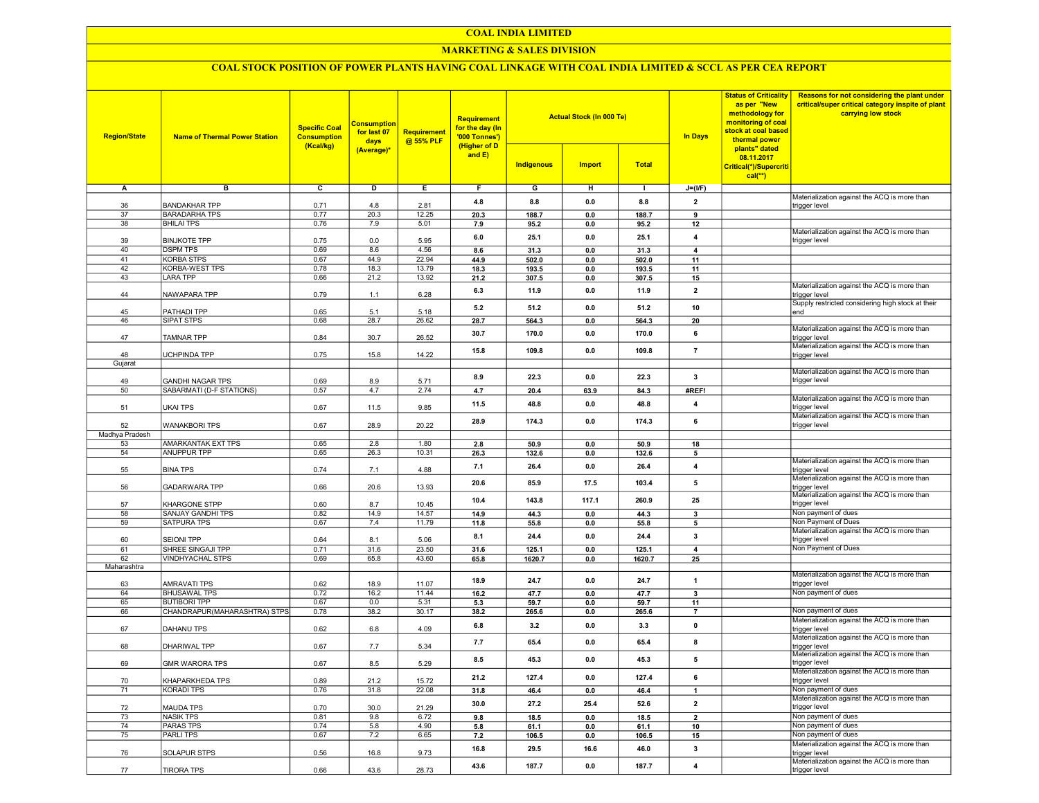#### COAL INDIA LIMITED

## MARKETING & SALES DIVISION

## COAL STOCK POSITION OF POWER PLANTS HAVING COAL LINKAGE WITH COAL INDIA LIMITED & SCCL AS PER CEA REPORT

| в<br>$\overline{c}$<br>D<br>Е.<br>F.<br>G<br>н<br>$J=(I/F)$<br>Α<br>$\mathbf{I}$<br>Materialization against the ACQ is more than<br>0.0<br>$\overline{\mathbf{2}}$<br>4.8<br>8.8<br>8.8<br><b>BANDAKHAR TPP</b><br>0.71<br>4.8<br>2.81<br>36<br>trigger level<br>37<br><b>BARADARHA TPS</b><br>0.77<br>20.3<br>12.25<br>20.3<br>188.7<br>0.0<br>188.7<br>9<br><b>BHILAI TPS</b><br>0.76<br>38<br>7.9<br>5.01<br>7.9<br>95.2<br>0.0<br>95.2<br>12<br>Materialization against the ACQ is more than<br>6.0<br>25.1<br>0.0<br>25.1<br>4<br>39<br><b>BINJKOTE TPP</b><br>0.75<br>5.95<br>0.0<br>trigger level<br>40<br><b>DSPM TPS</b><br>0.69<br>8.6<br>4.56<br>31.3<br>0.0<br>31.3<br>8.6<br>$\overline{4}$<br>44.9<br><b>KORBA STPS</b><br>0.67<br>22.94<br>41<br>44.9<br>502.0<br>0.0<br>502.0<br>11<br>42<br>KORBA-WEST TPS<br>18.3<br>13.79<br>0.78<br>18.3<br>193.5<br>0.0<br>193.5<br>11<br>43<br><b>LARA TPP</b><br>0.66<br>21.2<br>13.92<br>21.2<br>307.5<br>0.0<br>307.5<br>15<br>Materialization against the ACQ is more than<br>6.3<br>11.9<br>0.0<br>11.9<br>$\overline{2}$<br>NAWAPARA TPP<br>0.79<br>6.28<br>44<br>1.1<br>trigger level<br>Supply restricted considering high stock at their<br>5.2<br>51.2<br>0.0<br>51.2<br>10<br>PATHADI TPP<br>0.65<br>5.1<br>5.18<br>45<br>end<br>SIPAT STPS<br>0.68<br>28.7<br>26.62<br>28.7<br>564.3<br>20<br>46<br>564.3<br>0.0<br>Materialization against the ACQ is more than<br>0.0<br>30.7<br>170.0<br>170.0<br>6<br>0.84<br>30.7<br>26.52<br>47<br>TAMNAR TPP<br>trigger level<br>Materialization against the ACQ is more than<br>109.8<br>$\overline{7}$<br>15.8<br>109.8<br>0.0<br><b>UCHPINDA TPP</b><br>0.75<br>15.8<br>14.22<br>48<br>trigger level<br>Gujarat<br>Materialization against the ACQ is more than<br>8.9<br>22.3<br>0.0<br>22.3<br>$\overline{\mathbf{3}}$<br>49<br><b>GANDHI NAGAR TPS</b><br>0.69<br>8.9<br>5.71<br>trigger level<br>4.7<br>2.74<br>50<br>SABARMATI (D-F STATIONS)<br>0.57<br>63.9<br>4.7<br>20.4<br>84.3<br>#REF!<br>Materialization against the ACQ is more than<br>48.8<br>0.0<br>48.8<br>11.5<br>4<br>trigger level<br>0.67<br>9.85<br>51<br><b>UKAI TPS</b><br>11.5<br>Materialization against the ACQ is more than<br>174.3<br>6<br>28.9<br>174.3<br>0.0<br>52<br><b>WANAKBORI TPS</b><br>0.67<br>28.9<br>20.22<br>trigger level<br>Madhya Pradesh<br><b>AMARKANTAK EXT TPS</b><br>0.65<br>2.8<br>1.80<br>53<br>2.8<br>50.9<br>0.0<br>50.9<br>18<br><b>ANUPPUR TPP</b><br>54<br>0.65<br>26.3<br>10.31<br>132.6<br>26.3<br>0.0<br>132.6<br>5<br>Materialization against the ACQ is more than<br>7.1<br>0.0<br>26.4<br>$\overline{4}$<br>26.4<br><b>BINA TPS</b><br>0.74<br>4.88<br>55<br>7.1<br>trigger level<br>Materialization against the ACQ is more than<br>5<br>20.6<br>85.9<br>17.5<br>103.4<br>0.66<br>20.6<br>13.93<br>56<br><b>GADARWARA TPP</b><br>trigger level<br>Materialization against the ACQ is more than<br>10.4<br>143.8<br>117.1<br>260.9<br>25<br>trigger level<br>57<br>KHARGONE STPP<br>0.60<br>8.7<br>10.45<br>Non payment of dues<br>58<br>SANJAY GANDHI TPS<br>0.82<br>14.9<br>14.57<br>14.9<br>44.3<br>0.0<br>44.3<br>3<br>Non Payment of Dues<br>SATPURA TPS<br>0.67<br>59<br>7.4<br>11.79<br>11.8<br>55.8<br>0.0<br>55.8<br>5<br>Materialization against the ACQ is more than<br>8.1<br>24.4<br>0.0<br>24.4<br>3<br>trigger level<br>0.64<br>8.1<br>5.06<br>60<br><b>SEIONI TPP</b><br>Non Payment of Dues<br>61<br>SHREE SINGAJI TPP<br>0.71<br>31.6<br>23.50<br>31.6<br>125.1<br>0.0<br>125.1<br>$\overline{4}$<br>62<br><b>VINDHYACHAL STPS</b><br>0.69<br>65.8<br>43.60<br>65.8<br>1620.7<br>0.0<br>1620.7<br>25<br>Maharashtra<br>Materialization against the ACQ is more than<br>18.9<br>24.7<br>0.0<br>24.7<br>$\overline{1}$<br><b>AMRAVATI TPS</b><br>0.62<br>18.9<br>11.07<br>trigger level<br>63<br>Non payment of dues<br><b>BHUSAWAL TPS</b><br>0.72<br>16.2<br>11.44<br>64<br>16.2<br>47.7<br>0.0<br>47.7<br>$\mathbf{3}$<br>65<br><b>BUTIBORI TPP</b><br>0.67<br>0.0<br>5.31<br>59.7<br>0.0<br>59.7<br>5.3<br>11<br>Non payment of dues<br>66<br>CHANDRAPUR(MAHARASHTRA) STPS<br>0.78<br>38.2<br>30.17<br>38.2<br>265.6<br>0.0<br>265.6<br>$\overline{7}$<br>Materialization against the ACQ is more than<br>6.8<br>3.2<br>0.0<br>3.3<br>$\mathbf{0}$<br>DAHANU TPS<br>0.62<br>6.8<br>4.09<br>67<br>trigger level<br>Materialization against the ACQ is more than<br>0.0<br>65.4<br>8<br>7.7<br>65.4<br>DHARIWAL TPP<br>0.67<br>7.7<br>5.34<br>68<br>trigger level<br>Materialization against the ACQ is more than<br>0.0<br>5<br>8.5<br>45.3<br>45.3<br>trigger level<br>69<br><b>GMR WARORA TPS</b><br>0.67<br>8.5<br>5.29<br>Materialization against the ACQ is more than<br>21.2<br>127.4<br>$\mathbf{0.0}$<br>127.4<br>6<br>70<br>KHAPARKHEDA TPS<br>0.89<br>21.2<br>15.72<br>trigger level<br>Non payment of dues<br>31.8<br>71<br>KORADI TPS<br>0.76<br>22.08<br>31.8<br>$\mathbf{0.0}$<br>46.4<br>46.4<br>$\mathbf{1}$<br>Materialization against the ACQ is more than<br>25.4<br>52.6<br>$\mathbf{2}$<br>30.0<br>27.2<br>trigger level<br>21.29<br>72<br><b>MAUDA TPS</b><br>0.70<br>30.0<br>Non payment of dues<br>73<br><b>NASIK TPS</b><br>0.81<br>9.8<br>6.72<br>9.8<br>18.5<br>0.0<br>18.5<br>$\overline{2}$<br>Non payment of dues<br>74<br><b>PARAS TPS</b><br>0.74<br>5.8<br>4.90<br>10<br>5.8<br>61.1<br>0.0<br>61.1<br>Non payment of dues<br><b>PARLITPS</b><br>0.67<br>75<br>7.2<br>6.65<br>7.2<br>106.5<br>0.0<br>106.5<br>15<br>Materialization against the ACQ is more than<br>$\mathbf{3}$<br>16.8<br>29.5<br>16.6<br>46.0<br>9.73<br>76<br>SOLAPUR STPS<br>0.56<br>16.8<br>trigger level<br>Materialization against the ACQ is more than<br>$\overline{\mathbf{4}}$<br>43.6<br>187.7<br>0.0<br>187.7 | <b>Region/State</b> | <b>Name of Thermal Power Station</b> | <b>Specific Coal</b><br><b>Consumption</b><br>(Kcal/kg) | <b>Consumption</b><br>for last 07<br>days<br>(Average)* | <b>Requirement</b><br>@ 55% PLF | <b>Requirement</b><br>for the day (In<br>'000 Tonnes')<br>(Higher of D<br>and E) | <b>Indigenous</b> | <b>Actual Stock (In 000 Te)</b><br><b>Import</b> | <b>Total</b> | <b>In Days</b> | <b>Status of Criticality</b><br>as per "New<br>methodology for<br>monitoring of coal<br>stock at coal based<br>thermal power<br>plants" dated<br>08.11.2017<br>Critical(*)/Supercriti<br>$cal$ <sup>**</sup> ) | Reasons for not considering the plant under<br>critical/super critical category inspite of plant<br>carrying low stock |
|------------------------------------------------------------------------------------------------------------------------------------------------------------------------------------------------------------------------------------------------------------------------------------------------------------------------------------------------------------------------------------------------------------------------------------------------------------------------------------------------------------------------------------------------------------------------------------------------------------------------------------------------------------------------------------------------------------------------------------------------------------------------------------------------------------------------------------------------------------------------------------------------------------------------------------------------------------------------------------------------------------------------------------------------------------------------------------------------------------------------------------------------------------------------------------------------------------------------------------------------------------------------------------------------------------------------------------------------------------------------------------------------------------------------------------------------------------------------------------------------------------------------------------------------------------------------------------------------------------------------------------------------------------------------------------------------------------------------------------------------------------------------------------------------------------------------------------------------------------------------------------------------------------------------------------------------------------------------------------------------------------------------------------------------------------------------------------------------------------------------------------------------------------------------------------------------------------------------------------------------------------------------------------------------------------------------------------------------------------------------------------------------------------------------------------------------------------------------------------------------------------------------------------------------------------------------------------------------------------------------------------------------------------------------------------------------------------------------------------------------------------------------------------------------------------------------------------------------------------------------------------------------------------------------------------------------------------------------------------------------------------------------------------------------------------------------------------------------------------------------------------------------------------------------------------------------------------------------------------------------------------------------------------------------------------------------------------------------------------------------------------------------------------------------------------------------------------------------------------------------------------------------------------------------------------------------------------------------------------------------------------------------------------------------------------------------------------------------------------------------------------------------------------------------------------------------------------------------------------------------------------------------------------------------------------------------------------------------------------------------------------------------------------------------------------------------------------------------------------------------------------------------------------------------------------------------------------------------------------------------------------------------------------------------------------------------------------------------------------------------------------------------------------------------------------------------------------------------------------------------------------------------------------------------------------------------------------------------------------------------------------------------------------------------------------------------------------------------------------------------------------------------------------------------------------------------------------------------------------------------------------------------------------------------------------------------------------------------------------------------------------------------------------------------------------------------------------------------------------------------------------------------------------------------------------------------------------------------------------------------------------------------------------------------------------------------------------------------------------------------------------------------------------------------------------------------------------------------------------------------------------------------------------------------------------------------------------------------------------------------------------------------------------------------------------------------------------------------------------------------------------------------------|---------------------|--------------------------------------|---------------------------------------------------------|---------------------------------------------------------|---------------------------------|----------------------------------------------------------------------------------|-------------------|--------------------------------------------------|--------------|----------------|----------------------------------------------------------------------------------------------------------------------------------------------------------------------------------------------------------------|------------------------------------------------------------------------------------------------------------------------|
|                                                                                                                                                                                                                                                                                                                                                                                                                                                                                                                                                                                                                                                                                                                                                                                                                                                                                                                                                                                                                                                                                                                                                                                                                                                                                                                                                                                                                                                                                                                                                                                                                                                                                                                                                                                                                                                                                                                                                                                                                                                                                                                                                                                                                                                                                                                                                                                                                                                                                                                                                                                                                                                                                                                                                                                                                                                                                                                                                                                                                                                                                                                                                                                                                                                                                                                                                                                                                                                                                                                                                                                                                                                                                                                                                                                                                                                                                                                                                                                                                                                                                                                                                                                                                                                                                                                                                                                                                                                                                                                                                                                                                                                                                                                                                                                                                                                                                                                                                                                                                                                                                                                                                                                                                                                                                                                                                                                                                                                                                                                                                                                                                                                                                                                                                                              |                     |                                      |                                                         |                                                         |                                 |                                                                                  |                   |                                                  |              |                |                                                                                                                                                                                                                |                                                                                                                        |
|                                                                                                                                                                                                                                                                                                                                                                                                                                                                                                                                                                                                                                                                                                                                                                                                                                                                                                                                                                                                                                                                                                                                                                                                                                                                                                                                                                                                                                                                                                                                                                                                                                                                                                                                                                                                                                                                                                                                                                                                                                                                                                                                                                                                                                                                                                                                                                                                                                                                                                                                                                                                                                                                                                                                                                                                                                                                                                                                                                                                                                                                                                                                                                                                                                                                                                                                                                                                                                                                                                                                                                                                                                                                                                                                                                                                                                                                                                                                                                                                                                                                                                                                                                                                                                                                                                                                                                                                                                                                                                                                                                                                                                                                                                                                                                                                                                                                                                                                                                                                                                                                                                                                                                                                                                                                                                                                                                                                                                                                                                                                                                                                                                                                                                                                                                              |                     |                                      |                                                         |                                                         |                                 |                                                                                  |                   |                                                  |              |                |                                                                                                                                                                                                                |                                                                                                                        |
|                                                                                                                                                                                                                                                                                                                                                                                                                                                                                                                                                                                                                                                                                                                                                                                                                                                                                                                                                                                                                                                                                                                                                                                                                                                                                                                                                                                                                                                                                                                                                                                                                                                                                                                                                                                                                                                                                                                                                                                                                                                                                                                                                                                                                                                                                                                                                                                                                                                                                                                                                                                                                                                                                                                                                                                                                                                                                                                                                                                                                                                                                                                                                                                                                                                                                                                                                                                                                                                                                                                                                                                                                                                                                                                                                                                                                                                                                                                                                                                                                                                                                                                                                                                                                                                                                                                                                                                                                                                                                                                                                                                                                                                                                                                                                                                                                                                                                                                                                                                                                                                                                                                                                                                                                                                                                                                                                                                                                                                                                                                                                                                                                                                                                                                                                                              |                     |                                      |                                                         |                                                         |                                 |                                                                                  |                   |                                                  |              |                |                                                                                                                                                                                                                |                                                                                                                        |
|                                                                                                                                                                                                                                                                                                                                                                                                                                                                                                                                                                                                                                                                                                                                                                                                                                                                                                                                                                                                                                                                                                                                                                                                                                                                                                                                                                                                                                                                                                                                                                                                                                                                                                                                                                                                                                                                                                                                                                                                                                                                                                                                                                                                                                                                                                                                                                                                                                                                                                                                                                                                                                                                                                                                                                                                                                                                                                                                                                                                                                                                                                                                                                                                                                                                                                                                                                                                                                                                                                                                                                                                                                                                                                                                                                                                                                                                                                                                                                                                                                                                                                                                                                                                                                                                                                                                                                                                                                                                                                                                                                                                                                                                                                                                                                                                                                                                                                                                                                                                                                                                                                                                                                                                                                                                                                                                                                                                                                                                                                                                                                                                                                                                                                                                                                              |                     |                                      |                                                         |                                                         |                                 |                                                                                  |                   |                                                  |              |                |                                                                                                                                                                                                                |                                                                                                                        |
|                                                                                                                                                                                                                                                                                                                                                                                                                                                                                                                                                                                                                                                                                                                                                                                                                                                                                                                                                                                                                                                                                                                                                                                                                                                                                                                                                                                                                                                                                                                                                                                                                                                                                                                                                                                                                                                                                                                                                                                                                                                                                                                                                                                                                                                                                                                                                                                                                                                                                                                                                                                                                                                                                                                                                                                                                                                                                                                                                                                                                                                                                                                                                                                                                                                                                                                                                                                                                                                                                                                                                                                                                                                                                                                                                                                                                                                                                                                                                                                                                                                                                                                                                                                                                                                                                                                                                                                                                                                                                                                                                                                                                                                                                                                                                                                                                                                                                                                                                                                                                                                                                                                                                                                                                                                                                                                                                                                                                                                                                                                                                                                                                                                                                                                                                                              |                     |                                      |                                                         |                                                         |                                 |                                                                                  |                   |                                                  |              |                |                                                                                                                                                                                                                |                                                                                                                        |
|                                                                                                                                                                                                                                                                                                                                                                                                                                                                                                                                                                                                                                                                                                                                                                                                                                                                                                                                                                                                                                                                                                                                                                                                                                                                                                                                                                                                                                                                                                                                                                                                                                                                                                                                                                                                                                                                                                                                                                                                                                                                                                                                                                                                                                                                                                                                                                                                                                                                                                                                                                                                                                                                                                                                                                                                                                                                                                                                                                                                                                                                                                                                                                                                                                                                                                                                                                                                                                                                                                                                                                                                                                                                                                                                                                                                                                                                                                                                                                                                                                                                                                                                                                                                                                                                                                                                                                                                                                                                                                                                                                                                                                                                                                                                                                                                                                                                                                                                                                                                                                                                                                                                                                                                                                                                                                                                                                                                                                                                                                                                                                                                                                                                                                                                                                              |                     |                                      |                                                         |                                                         |                                 |                                                                                  |                   |                                                  |              |                |                                                                                                                                                                                                                |                                                                                                                        |
|                                                                                                                                                                                                                                                                                                                                                                                                                                                                                                                                                                                                                                                                                                                                                                                                                                                                                                                                                                                                                                                                                                                                                                                                                                                                                                                                                                                                                                                                                                                                                                                                                                                                                                                                                                                                                                                                                                                                                                                                                                                                                                                                                                                                                                                                                                                                                                                                                                                                                                                                                                                                                                                                                                                                                                                                                                                                                                                                                                                                                                                                                                                                                                                                                                                                                                                                                                                                                                                                                                                                                                                                                                                                                                                                                                                                                                                                                                                                                                                                                                                                                                                                                                                                                                                                                                                                                                                                                                                                                                                                                                                                                                                                                                                                                                                                                                                                                                                                                                                                                                                                                                                                                                                                                                                                                                                                                                                                                                                                                                                                                                                                                                                                                                                                                                              |                     |                                      |                                                         |                                                         |                                 |                                                                                  |                   |                                                  |              |                |                                                                                                                                                                                                                |                                                                                                                        |
|                                                                                                                                                                                                                                                                                                                                                                                                                                                                                                                                                                                                                                                                                                                                                                                                                                                                                                                                                                                                                                                                                                                                                                                                                                                                                                                                                                                                                                                                                                                                                                                                                                                                                                                                                                                                                                                                                                                                                                                                                                                                                                                                                                                                                                                                                                                                                                                                                                                                                                                                                                                                                                                                                                                                                                                                                                                                                                                                                                                                                                                                                                                                                                                                                                                                                                                                                                                                                                                                                                                                                                                                                                                                                                                                                                                                                                                                                                                                                                                                                                                                                                                                                                                                                                                                                                                                                                                                                                                                                                                                                                                                                                                                                                                                                                                                                                                                                                                                                                                                                                                                                                                                                                                                                                                                                                                                                                                                                                                                                                                                                                                                                                                                                                                                                                              |                     |                                      |                                                         |                                                         |                                 |                                                                                  |                   |                                                  |              |                |                                                                                                                                                                                                                |                                                                                                                        |
|                                                                                                                                                                                                                                                                                                                                                                                                                                                                                                                                                                                                                                                                                                                                                                                                                                                                                                                                                                                                                                                                                                                                                                                                                                                                                                                                                                                                                                                                                                                                                                                                                                                                                                                                                                                                                                                                                                                                                                                                                                                                                                                                                                                                                                                                                                                                                                                                                                                                                                                                                                                                                                                                                                                                                                                                                                                                                                                                                                                                                                                                                                                                                                                                                                                                                                                                                                                                                                                                                                                                                                                                                                                                                                                                                                                                                                                                                                                                                                                                                                                                                                                                                                                                                                                                                                                                                                                                                                                                                                                                                                                                                                                                                                                                                                                                                                                                                                                                                                                                                                                                                                                                                                                                                                                                                                                                                                                                                                                                                                                                                                                                                                                                                                                                                                              |                     |                                      |                                                         |                                                         |                                 |                                                                                  |                   |                                                  |              |                |                                                                                                                                                                                                                |                                                                                                                        |
|                                                                                                                                                                                                                                                                                                                                                                                                                                                                                                                                                                                                                                                                                                                                                                                                                                                                                                                                                                                                                                                                                                                                                                                                                                                                                                                                                                                                                                                                                                                                                                                                                                                                                                                                                                                                                                                                                                                                                                                                                                                                                                                                                                                                                                                                                                                                                                                                                                                                                                                                                                                                                                                                                                                                                                                                                                                                                                                                                                                                                                                                                                                                                                                                                                                                                                                                                                                                                                                                                                                                                                                                                                                                                                                                                                                                                                                                                                                                                                                                                                                                                                                                                                                                                                                                                                                                                                                                                                                                                                                                                                                                                                                                                                                                                                                                                                                                                                                                                                                                                                                                                                                                                                                                                                                                                                                                                                                                                                                                                                                                                                                                                                                                                                                                                                              |                     |                                      |                                                         |                                                         |                                 |                                                                                  |                   |                                                  |              |                |                                                                                                                                                                                                                |                                                                                                                        |
|                                                                                                                                                                                                                                                                                                                                                                                                                                                                                                                                                                                                                                                                                                                                                                                                                                                                                                                                                                                                                                                                                                                                                                                                                                                                                                                                                                                                                                                                                                                                                                                                                                                                                                                                                                                                                                                                                                                                                                                                                                                                                                                                                                                                                                                                                                                                                                                                                                                                                                                                                                                                                                                                                                                                                                                                                                                                                                                                                                                                                                                                                                                                                                                                                                                                                                                                                                                                                                                                                                                                                                                                                                                                                                                                                                                                                                                                                                                                                                                                                                                                                                                                                                                                                                                                                                                                                                                                                                                                                                                                                                                                                                                                                                                                                                                                                                                                                                                                                                                                                                                                                                                                                                                                                                                                                                                                                                                                                                                                                                                                                                                                                                                                                                                                                                              |                     |                                      |                                                         |                                                         |                                 |                                                                                  |                   |                                                  |              |                |                                                                                                                                                                                                                |                                                                                                                        |
|                                                                                                                                                                                                                                                                                                                                                                                                                                                                                                                                                                                                                                                                                                                                                                                                                                                                                                                                                                                                                                                                                                                                                                                                                                                                                                                                                                                                                                                                                                                                                                                                                                                                                                                                                                                                                                                                                                                                                                                                                                                                                                                                                                                                                                                                                                                                                                                                                                                                                                                                                                                                                                                                                                                                                                                                                                                                                                                                                                                                                                                                                                                                                                                                                                                                                                                                                                                                                                                                                                                                                                                                                                                                                                                                                                                                                                                                                                                                                                                                                                                                                                                                                                                                                                                                                                                                                                                                                                                                                                                                                                                                                                                                                                                                                                                                                                                                                                                                                                                                                                                                                                                                                                                                                                                                                                                                                                                                                                                                                                                                                                                                                                                                                                                                                                              |                     |                                      |                                                         |                                                         |                                 |                                                                                  |                   |                                                  |              |                |                                                                                                                                                                                                                |                                                                                                                        |
|                                                                                                                                                                                                                                                                                                                                                                                                                                                                                                                                                                                                                                                                                                                                                                                                                                                                                                                                                                                                                                                                                                                                                                                                                                                                                                                                                                                                                                                                                                                                                                                                                                                                                                                                                                                                                                                                                                                                                                                                                                                                                                                                                                                                                                                                                                                                                                                                                                                                                                                                                                                                                                                                                                                                                                                                                                                                                                                                                                                                                                                                                                                                                                                                                                                                                                                                                                                                                                                                                                                                                                                                                                                                                                                                                                                                                                                                                                                                                                                                                                                                                                                                                                                                                                                                                                                                                                                                                                                                                                                                                                                                                                                                                                                                                                                                                                                                                                                                                                                                                                                                                                                                                                                                                                                                                                                                                                                                                                                                                                                                                                                                                                                                                                                                                                              |                     |                                      |                                                         |                                                         |                                 |                                                                                  |                   |                                                  |              |                |                                                                                                                                                                                                                |                                                                                                                        |
|                                                                                                                                                                                                                                                                                                                                                                                                                                                                                                                                                                                                                                                                                                                                                                                                                                                                                                                                                                                                                                                                                                                                                                                                                                                                                                                                                                                                                                                                                                                                                                                                                                                                                                                                                                                                                                                                                                                                                                                                                                                                                                                                                                                                                                                                                                                                                                                                                                                                                                                                                                                                                                                                                                                                                                                                                                                                                                                                                                                                                                                                                                                                                                                                                                                                                                                                                                                                                                                                                                                                                                                                                                                                                                                                                                                                                                                                                                                                                                                                                                                                                                                                                                                                                                                                                                                                                                                                                                                                                                                                                                                                                                                                                                                                                                                                                                                                                                                                                                                                                                                                                                                                                                                                                                                                                                                                                                                                                                                                                                                                                                                                                                                                                                                                                                              |                     |                                      |                                                         |                                                         |                                 |                                                                                  |                   |                                                  |              |                |                                                                                                                                                                                                                |                                                                                                                        |
|                                                                                                                                                                                                                                                                                                                                                                                                                                                                                                                                                                                                                                                                                                                                                                                                                                                                                                                                                                                                                                                                                                                                                                                                                                                                                                                                                                                                                                                                                                                                                                                                                                                                                                                                                                                                                                                                                                                                                                                                                                                                                                                                                                                                                                                                                                                                                                                                                                                                                                                                                                                                                                                                                                                                                                                                                                                                                                                                                                                                                                                                                                                                                                                                                                                                                                                                                                                                                                                                                                                                                                                                                                                                                                                                                                                                                                                                                                                                                                                                                                                                                                                                                                                                                                                                                                                                                                                                                                                                                                                                                                                                                                                                                                                                                                                                                                                                                                                                                                                                                                                                                                                                                                                                                                                                                                                                                                                                                                                                                                                                                                                                                                                                                                                                                                              |                     |                                      |                                                         |                                                         |                                 |                                                                                  |                   |                                                  |              |                |                                                                                                                                                                                                                |                                                                                                                        |
|                                                                                                                                                                                                                                                                                                                                                                                                                                                                                                                                                                                                                                                                                                                                                                                                                                                                                                                                                                                                                                                                                                                                                                                                                                                                                                                                                                                                                                                                                                                                                                                                                                                                                                                                                                                                                                                                                                                                                                                                                                                                                                                                                                                                                                                                                                                                                                                                                                                                                                                                                                                                                                                                                                                                                                                                                                                                                                                                                                                                                                                                                                                                                                                                                                                                                                                                                                                                                                                                                                                                                                                                                                                                                                                                                                                                                                                                                                                                                                                                                                                                                                                                                                                                                                                                                                                                                                                                                                                                                                                                                                                                                                                                                                                                                                                                                                                                                                                                                                                                                                                                                                                                                                                                                                                                                                                                                                                                                                                                                                                                                                                                                                                                                                                                                                              |                     |                                      |                                                         |                                                         |                                 |                                                                                  |                   |                                                  |              |                |                                                                                                                                                                                                                |                                                                                                                        |
|                                                                                                                                                                                                                                                                                                                                                                                                                                                                                                                                                                                                                                                                                                                                                                                                                                                                                                                                                                                                                                                                                                                                                                                                                                                                                                                                                                                                                                                                                                                                                                                                                                                                                                                                                                                                                                                                                                                                                                                                                                                                                                                                                                                                                                                                                                                                                                                                                                                                                                                                                                                                                                                                                                                                                                                                                                                                                                                                                                                                                                                                                                                                                                                                                                                                                                                                                                                                                                                                                                                                                                                                                                                                                                                                                                                                                                                                                                                                                                                                                                                                                                                                                                                                                                                                                                                                                                                                                                                                                                                                                                                                                                                                                                                                                                                                                                                                                                                                                                                                                                                                                                                                                                                                                                                                                                                                                                                                                                                                                                                                                                                                                                                                                                                                                                              |                     |                                      |                                                         |                                                         |                                 |                                                                                  |                   |                                                  |              |                |                                                                                                                                                                                                                |                                                                                                                        |
|                                                                                                                                                                                                                                                                                                                                                                                                                                                                                                                                                                                                                                                                                                                                                                                                                                                                                                                                                                                                                                                                                                                                                                                                                                                                                                                                                                                                                                                                                                                                                                                                                                                                                                                                                                                                                                                                                                                                                                                                                                                                                                                                                                                                                                                                                                                                                                                                                                                                                                                                                                                                                                                                                                                                                                                                                                                                                                                                                                                                                                                                                                                                                                                                                                                                                                                                                                                                                                                                                                                                                                                                                                                                                                                                                                                                                                                                                                                                                                                                                                                                                                                                                                                                                                                                                                                                                                                                                                                                                                                                                                                                                                                                                                                                                                                                                                                                                                                                                                                                                                                                                                                                                                                                                                                                                                                                                                                                                                                                                                                                                                                                                                                                                                                                                                              |                     |                                      |                                                         |                                                         |                                 |                                                                                  |                   |                                                  |              |                |                                                                                                                                                                                                                |                                                                                                                        |
|                                                                                                                                                                                                                                                                                                                                                                                                                                                                                                                                                                                                                                                                                                                                                                                                                                                                                                                                                                                                                                                                                                                                                                                                                                                                                                                                                                                                                                                                                                                                                                                                                                                                                                                                                                                                                                                                                                                                                                                                                                                                                                                                                                                                                                                                                                                                                                                                                                                                                                                                                                                                                                                                                                                                                                                                                                                                                                                                                                                                                                                                                                                                                                                                                                                                                                                                                                                                                                                                                                                                                                                                                                                                                                                                                                                                                                                                                                                                                                                                                                                                                                                                                                                                                                                                                                                                                                                                                                                                                                                                                                                                                                                                                                                                                                                                                                                                                                                                                                                                                                                                                                                                                                                                                                                                                                                                                                                                                                                                                                                                                                                                                                                                                                                                                                              |                     |                                      |                                                         |                                                         |                                 |                                                                                  |                   |                                                  |              |                |                                                                                                                                                                                                                |                                                                                                                        |
|                                                                                                                                                                                                                                                                                                                                                                                                                                                                                                                                                                                                                                                                                                                                                                                                                                                                                                                                                                                                                                                                                                                                                                                                                                                                                                                                                                                                                                                                                                                                                                                                                                                                                                                                                                                                                                                                                                                                                                                                                                                                                                                                                                                                                                                                                                                                                                                                                                                                                                                                                                                                                                                                                                                                                                                                                                                                                                                                                                                                                                                                                                                                                                                                                                                                                                                                                                                                                                                                                                                                                                                                                                                                                                                                                                                                                                                                                                                                                                                                                                                                                                                                                                                                                                                                                                                                                                                                                                                                                                                                                                                                                                                                                                                                                                                                                                                                                                                                                                                                                                                                                                                                                                                                                                                                                                                                                                                                                                                                                                                                                                                                                                                                                                                                                                              |                     |                                      |                                                         |                                                         |                                 |                                                                                  |                   |                                                  |              |                |                                                                                                                                                                                                                |                                                                                                                        |
|                                                                                                                                                                                                                                                                                                                                                                                                                                                                                                                                                                                                                                                                                                                                                                                                                                                                                                                                                                                                                                                                                                                                                                                                                                                                                                                                                                                                                                                                                                                                                                                                                                                                                                                                                                                                                                                                                                                                                                                                                                                                                                                                                                                                                                                                                                                                                                                                                                                                                                                                                                                                                                                                                                                                                                                                                                                                                                                                                                                                                                                                                                                                                                                                                                                                                                                                                                                                                                                                                                                                                                                                                                                                                                                                                                                                                                                                                                                                                                                                                                                                                                                                                                                                                                                                                                                                                                                                                                                                                                                                                                                                                                                                                                                                                                                                                                                                                                                                                                                                                                                                                                                                                                                                                                                                                                                                                                                                                                                                                                                                                                                                                                                                                                                                                                              |                     |                                      |                                                         |                                                         |                                 |                                                                                  |                   |                                                  |              |                |                                                                                                                                                                                                                |                                                                                                                        |
|                                                                                                                                                                                                                                                                                                                                                                                                                                                                                                                                                                                                                                                                                                                                                                                                                                                                                                                                                                                                                                                                                                                                                                                                                                                                                                                                                                                                                                                                                                                                                                                                                                                                                                                                                                                                                                                                                                                                                                                                                                                                                                                                                                                                                                                                                                                                                                                                                                                                                                                                                                                                                                                                                                                                                                                                                                                                                                                                                                                                                                                                                                                                                                                                                                                                                                                                                                                                                                                                                                                                                                                                                                                                                                                                                                                                                                                                                                                                                                                                                                                                                                                                                                                                                                                                                                                                                                                                                                                                                                                                                                                                                                                                                                                                                                                                                                                                                                                                                                                                                                                                                                                                                                                                                                                                                                                                                                                                                                                                                                                                                                                                                                                                                                                                                                              |                     |                                      |                                                         |                                                         |                                 |                                                                                  |                   |                                                  |              |                |                                                                                                                                                                                                                |                                                                                                                        |
|                                                                                                                                                                                                                                                                                                                                                                                                                                                                                                                                                                                                                                                                                                                                                                                                                                                                                                                                                                                                                                                                                                                                                                                                                                                                                                                                                                                                                                                                                                                                                                                                                                                                                                                                                                                                                                                                                                                                                                                                                                                                                                                                                                                                                                                                                                                                                                                                                                                                                                                                                                                                                                                                                                                                                                                                                                                                                                                                                                                                                                                                                                                                                                                                                                                                                                                                                                                                                                                                                                                                                                                                                                                                                                                                                                                                                                                                                                                                                                                                                                                                                                                                                                                                                                                                                                                                                                                                                                                                                                                                                                                                                                                                                                                                                                                                                                                                                                                                                                                                                                                                                                                                                                                                                                                                                                                                                                                                                                                                                                                                                                                                                                                                                                                                                                              |                     |                                      |                                                         |                                                         |                                 |                                                                                  |                   |                                                  |              |                |                                                                                                                                                                                                                |                                                                                                                        |
|                                                                                                                                                                                                                                                                                                                                                                                                                                                                                                                                                                                                                                                                                                                                                                                                                                                                                                                                                                                                                                                                                                                                                                                                                                                                                                                                                                                                                                                                                                                                                                                                                                                                                                                                                                                                                                                                                                                                                                                                                                                                                                                                                                                                                                                                                                                                                                                                                                                                                                                                                                                                                                                                                                                                                                                                                                                                                                                                                                                                                                                                                                                                                                                                                                                                                                                                                                                                                                                                                                                                                                                                                                                                                                                                                                                                                                                                                                                                                                                                                                                                                                                                                                                                                                                                                                                                                                                                                                                                                                                                                                                                                                                                                                                                                                                                                                                                                                                                                                                                                                                                                                                                                                                                                                                                                                                                                                                                                                                                                                                                                                                                                                                                                                                                                                              |                     |                                      |                                                         |                                                         |                                 |                                                                                  |                   |                                                  |              |                |                                                                                                                                                                                                                |                                                                                                                        |
|                                                                                                                                                                                                                                                                                                                                                                                                                                                                                                                                                                                                                                                                                                                                                                                                                                                                                                                                                                                                                                                                                                                                                                                                                                                                                                                                                                                                                                                                                                                                                                                                                                                                                                                                                                                                                                                                                                                                                                                                                                                                                                                                                                                                                                                                                                                                                                                                                                                                                                                                                                                                                                                                                                                                                                                                                                                                                                                                                                                                                                                                                                                                                                                                                                                                                                                                                                                                                                                                                                                                                                                                                                                                                                                                                                                                                                                                                                                                                                                                                                                                                                                                                                                                                                                                                                                                                                                                                                                                                                                                                                                                                                                                                                                                                                                                                                                                                                                                                                                                                                                                                                                                                                                                                                                                                                                                                                                                                                                                                                                                                                                                                                                                                                                                                                              |                     |                                      |                                                         |                                                         |                                 |                                                                                  |                   |                                                  |              |                |                                                                                                                                                                                                                |                                                                                                                        |
|                                                                                                                                                                                                                                                                                                                                                                                                                                                                                                                                                                                                                                                                                                                                                                                                                                                                                                                                                                                                                                                                                                                                                                                                                                                                                                                                                                                                                                                                                                                                                                                                                                                                                                                                                                                                                                                                                                                                                                                                                                                                                                                                                                                                                                                                                                                                                                                                                                                                                                                                                                                                                                                                                                                                                                                                                                                                                                                                                                                                                                                                                                                                                                                                                                                                                                                                                                                                                                                                                                                                                                                                                                                                                                                                                                                                                                                                                                                                                                                                                                                                                                                                                                                                                                                                                                                                                                                                                                                                                                                                                                                                                                                                                                                                                                                                                                                                                                                                                                                                                                                                                                                                                                                                                                                                                                                                                                                                                                                                                                                                                                                                                                                                                                                                                                              |                     |                                      |                                                         |                                                         |                                 |                                                                                  |                   |                                                  |              |                |                                                                                                                                                                                                                |                                                                                                                        |
|                                                                                                                                                                                                                                                                                                                                                                                                                                                                                                                                                                                                                                                                                                                                                                                                                                                                                                                                                                                                                                                                                                                                                                                                                                                                                                                                                                                                                                                                                                                                                                                                                                                                                                                                                                                                                                                                                                                                                                                                                                                                                                                                                                                                                                                                                                                                                                                                                                                                                                                                                                                                                                                                                                                                                                                                                                                                                                                                                                                                                                                                                                                                                                                                                                                                                                                                                                                                                                                                                                                                                                                                                                                                                                                                                                                                                                                                                                                                                                                                                                                                                                                                                                                                                                                                                                                                                                                                                                                                                                                                                                                                                                                                                                                                                                                                                                                                                                                                                                                                                                                                                                                                                                                                                                                                                                                                                                                                                                                                                                                                                                                                                                                                                                                                                                              |                     |                                      |                                                         |                                                         |                                 |                                                                                  |                   |                                                  |              |                |                                                                                                                                                                                                                |                                                                                                                        |
|                                                                                                                                                                                                                                                                                                                                                                                                                                                                                                                                                                                                                                                                                                                                                                                                                                                                                                                                                                                                                                                                                                                                                                                                                                                                                                                                                                                                                                                                                                                                                                                                                                                                                                                                                                                                                                                                                                                                                                                                                                                                                                                                                                                                                                                                                                                                                                                                                                                                                                                                                                                                                                                                                                                                                                                                                                                                                                                                                                                                                                                                                                                                                                                                                                                                                                                                                                                                                                                                                                                                                                                                                                                                                                                                                                                                                                                                                                                                                                                                                                                                                                                                                                                                                                                                                                                                                                                                                                                                                                                                                                                                                                                                                                                                                                                                                                                                                                                                                                                                                                                                                                                                                                                                                                                                                                                                                                                                                                                                                                                                                                                                                                                                                                                                                                              |                     |                                      |                                                         |                                                         |                                 |                                                                                  |                   |                                                  |              |                |                                                                                                                                                                                                                |                                                                                                                        |
|                                                                                                                                                                                                                                                                                                                                                                                                                                                                                                                                                                                                                                                                                                                                                                                                                                                                                                                                                                                                                                                                                                                                                                                                                                                                                                                                                                                                                                                                                                                                                                                                                                                                                                                                                                                                                                                                                                                                                                                                                                                                                                                                                                                                                                                                                                                                                                                                                                                                                                                                                                                                                                                                                                                                                                                                                                                                                                                                                                                                                                                                                                                                                                                                                                                                                                                                                                                                                                                                                                                                                                                                                                                                                                                                                                                                                                                                                                                                                                                                                                                                                                                                                                                                                                                                                                                                                                                                                                                                                                                                                                                                                                                                                                                                                                                                                                                                                                                                                                                                                                                                                                                                                                                                                                                                                                                                                                                                                                                                                                                                                                                                                                                                                                                                                                              |                     |                                      |                                                         |                                                         |                                 |                                                                                  |                   |                                                  |              |                |                                                                                                                                                                                                                |                                                                                                                        |
|                                                                                                                                                                                                                                                                                                                                                                                                                                                                                                                                                                                                                                                                                                                                                                                                                                                                                                                                                                                                                                                                                                                                                                                                                                                                                                                                                                                                                                                                                                                                                                                                                                                                                                                                                                                                                                                                                                                                                                                                                                                                                                                                                                                                                                                                                                                                                                                                                                                                                                                                                                                                                                                                                                                                                                                                                                                                                                                                                                                                                                                                                                                                                                                                                                                                                                                                                                                                                                                                                                                                                                                                                                                                                                                                                                                                                                                                                                                                                                                                                                                                                                                                                                                                                                                                                                                                                                                                                                                                                                                                                                                                                                                                                                                                                                                                                                                                                                                                                                                                                                                                                                                                                                                                                                                                                                                                                                                                                                                                                                                                                                                                                                                                                                                                                                              |                     |                                      |                                                         |                                                         |                                 |                                                                                  |                   |                                                  |              |                |                                                                                                                                                                                                                |                                                                                                                        |
|                                                                                                                                                                                                                                                                                                                                                                                                                                                                                                                                                                                                                                                                                                                                                                                                                                                                                                                                                                                                                                                                                                                                                                                                                                                                                                                                                                                                                                                                                                                                                                                                                                                                                                                                                                                                                                                                                                                                                                                                                                                                                                                                                                                                                                                                                                                                                                                                                                                                                                                                                                                                                                                                                                                                                                                                                                                                                                                                                                                                                                                                                                                                                                                                                                                                                                                                                                                                                                                                                                                                                                                                                                                                                                                                                                                                                                                                                                                                                                                                                                                                                                                                                                                                                                                                                                                                                                                                                                                                                                                                                                                                                                                                                                                                                                                                                                                                                                                                                                                                                                                                                                                                                                                                                                                                                                                                                                                                                                                                                                                                                                                                                                                                                                                                                                              |                     |                                      |                                                         |                                                         |                                 |                                                                                  |                   |                                                  |              |                |                                                                                                                                                                                                                |                                                                                                                        |
|                                                                                                                                                                                                                                                                                                                                                                                                                                                                                                                                                                                                                                                                                                                                                                                                                                                                                                                                                                                                                                                                                                                                                                                                                                                                                                                                                                                                                                                                                                                                                                                                                                                                                                                                                                                                                                                                                                                                                                                                                                                                                                                                                                                                                                                                                                                                                                                                                                                                                                                                                                                                                                                                                                                                                                                                                                                                                                                                                                                                                                                                                                                                                                                                                                                                                                                                                                                                                                                                                                                                                                                                                                                                                                                                                                                                                                                                                                                                                                                                                                                                                                                                                                                                                                                                                                                                                                                                                                                                                                                                                                                                                                                                                                                                                                                                                                                                                                                                                                                                                                                                                                                                                                                                                                                                                                                                                                                                                                                                                                                                                                                                                                                                                                                                                                              |                     |                                      |                                                         |                                                         |                                 |                                                                                  |                   |                                                  |              |                |                                                                                                                                                                                                                |                                                                                                                        |
|                                                                                                                                                                                                                                                                                                                                                                                                                                                                                                                                                                                                                                                                                                                                                                                                                                                                                                                                                                                                                                                                                                                                                                                                                                                                                                                                                                                                                                                                                                                                                                                                                                                                                                                                                                                                                                                                                                                                                                                                                                                                                                                                                                                                                                                                                                                                                                                                                                                                                                                                                                                                                                                                                                                                                                                                                                                                                                                                                                                                                                                                                                                                                                                                                                                                                                                                                                                                                                                                                                                                                                                                                                                                                                                                                                                                                                                                                                                                                                                                                                                                                                                                                                                                                                                                                                                                                                                                                                                                                                                                                                                                                                                                                                                                                                                                                                                                                                                                                                                                                                                                                                                                                                                                                                                                                                                                                                                                                                                                                                                                                                                                                                                                                                                                                                              |                     |                                      |                                                         |                                                         |                                 |                                                                                  |                   |                                                  |              |                |                                                                                                                                                                                                                |                                                                                                                        |
|                                                                                                                                                                                                                                                                                                                                                                                                                                                                                                                                                                                                                                                                                                                                                                                                                                                                                                                                                                                                                                                                                                                                                                                                                                                                                                                                                                                                                                                                                                                                                                                                                                                                                                                                                                                                                                                                                                                                                                                                                                                                                                                                                                                                                                                                                                                                                                                                                                                                                                                                                                                                                                                                                                                                                                                                                                                                                                                                                                                                                                                                                                                                                                                                                                                                                                                                                                                                                                                                                                                                                                                                                                                                                                                                                                                                                                                                                                                                                                                                                                                                                                                                                                                                                                                                                                                                                                                                                                                                                                                                                                                                                                                                                                                                                                                                                                                                                                                                                                                                                                                                                                                                                                                                                                                                                                                                                                                                                                                                                                                                                                                                                                                                                                                                                                              |                     |                                      |                                                         |                                                         |                                 |                                                                                  |                   |                                                  |              |                |                                                                                                                                                                                                                |                                                                                                                        |
|                                                                                                                                                                                                                                                                                                                                                                                                                                                                                                                                                                                                                                                                                                                                                                                                                                                                                                                                                                                                                                                                                                                                                                                                                                                                                                                                                                                                                                                                                                                                                                                                                                                                                                                                                                                                                                                                                                                                                                                                                                                                                                                                                                                                                                                                                                                                                                                                                                                                                                                                                                                                                                                                                                                                                                                                                                                                                                                                                                                                                                                                                                                                                                                                                                                                                                                                                                                                                                                                                                                                                                                                                                                                                                                                                                                                                                                                                                                                                                                                                                                                                                                                                                                                                                                                                                                                                                                                                                                                                                                                                                                                                                                                                                                                                                                                                                                                                                                                                                                                                                                                                                                                                                                                                                                                                                                                                                                                                                                                                                                                                                                                                                                                                                                                                                              |                     |                                      |                                                         |                                                         |                                 |                                                                                  |                   |                                                  |              |                |                                                                                                                                                                                                                |                                                                                                                        |
|                                                                                                                                                                                                                                                                                                                                                                                                                                                                                                                                                                                                                                                                                                                                                                                                                                                                                                                                                                                                                                                                                                                                                                                                                                                                                                                                                                                                                                                                                                                                                                                                                                                                                                                                                                                                                                                                                                                                                                                                                                                                                                                                                                                                                                                                                                                                                                                                                                                                                                                                                                                                                                                                                                                                                                                                                                                                                                                                                                                                                                                                                                                                                                                                                                                                                                                                                                                                                                                                                                                                                                                                                                                                                                                                                                                                                                                                                                                                                                                                                                                                                                                                                                                                                                                                                                                                                                                                                                                                                                                                                                                                                                                                                                                                                                                                                                                                                                                                                                                                                                                                                                                                                                                                                                                                                                                                                                                                                                                                                                                                                                                                                                                                                                                                                                              |                     |                                      |                                                         |                                                         |                                 |                                                                                  |                   |                                                  |              |                |                                                                                                                                                                                                                |                                                                                                                        |
|                                                                                                                                                                                                                                                                                                                                                                                                                                                                                                                                                                                                                                                                                                                                                                                                                                                                                                                                                                                                                                                                                                                                                                                                                                                                                                                                                                                                                                                                                                                                                                                                                                                                                                                                                                                                                                                                                                                                                                                                                                                                                                                                                                                                                                                                                                                                                                                                                                                                                                                                                                                                                                                                                                                                                                                                                                                                                                                                                                                                                                                                                                                                                                                                                                                                                                                                                                                                                                                                                                                                                                                                                                                                                                                                                                                                                                                                                                                                                                                                                                                                                                                                                                                                                                                                                                                                                                                                                                                                                                                                                                                                                                                                                                                                                                                                                                                                                                                                                                                                                                                                                                                                                                                                                                                                                                                                                                                                                                                                                                                                                                                                                                                                                                                                                                              |                     |                                      |                                                         |                                                         |                                 |                                                                                  |                   |                                                  |              |                |                                                                                                                                                                                                                |                                                                                                                        |
|                                                                                                                                                                                                                                                                                                                                                                                                                                                                                                                                                                                                                                                                                                                                                                                                                                                                                                                                                                                                                                                                                                                                                                                                                                                                                                                                                                                                                                                                                                                                                                                                                                                                                                                                                                                                                                                                                                                                                                                                                                                                                                                                                                                                                                                                                                                                                                                                                                                                                                                                                                                                                                                                                                                                                                                                                                                                                                                                                                                                                                                                                                                                                                                                                                                                                                                                                                                                                                                                                                                                                                                                                                                                                                                                                                                                                                                                                                                                                                                                                                                                                                                                                                                                                                                                                                                                                                                                                                                                                                                                                                                                                                                                                                                                                                                                                                                                                                                                                                                                                                                                                                                                                                                                                                                                                                                                                                                                                                                                                                                                                                                                                                                                                                                                                                              |                     |                                      |                                                         |                                                         |                                 |                                                                                  |                   |                                                  |              |                |                                                                                                                                                                                                                |                                                                                                                        |
|                                                                                                                                                                                                                                                                                                                                                                                                                                                                                                                                                                                                                                                                                                                                                                                                                                                                                                                                                                                                                                                                                                                                                                                                                                                                                                                                                                                                                                                                                                                                                                                                                                                                                                                                                                                                                                                                                                                                                                                                                                                                                                                                                                                                                                                                                                                                                                                                                                                                                                                                                                                                                                                                                                                                                                                                                                                                                                                                                                                                                                                                                                                                                                                                                                                                                                                                                                                                                                                                                                                                                                                                                                                                                                                                                                                                                                                                                                                                                                                                                                                                                                                                                                                                                                                                                                                                                                                                                                                                                                                                                                                                                                                                                                                                                                                                                                                                                                                                                                                                                                                                                                                                                                                                                                                                                                                                                                                                                                                                                                                                                                                                                                                                                                                                                                              |                     |                                      |                                                         |                                                         |                                 |                                                                                  |                   |                                                  |              |                |                                                                                                                                                                                                                |                                                                                                                        |
|                                                                                                                                                                                                                                                                                                                                                                                                                                                                                                                                                                                                                                                                                                                                                                                                                                                                                                                                                                                                                                                                                                                                                                                                                                                                                                                                                                                                                                                                                                                                                                                                                                                                                                                                                                                                                                                                                                                                                                                                                                                                                                                                                                                                                                                                                                                                                                                                                                                                                                                                                                                                                                                                                                                                                                                                                                                                                                                                                                                                                                                                                                                                                                                                                                                                                                                                                                                                                                                                                                                                                                                                                                                                                                                                                                                                                                                                                                                                                                                                                                                                                                                                                                                                                                                                                                                                                                                                                                                                                                                                                                                                                                                                                                                                                                                                                                                                                                                                                                                                                                                                                                                                                                                                                                                                                                                                                                                                                                                                                                                                                                                                                                                                                                                                                                              |                     |                                      |                                                         |                                                         |                                 |                                                                                  |                   |                                                  |              |                |                                                                                                                                                                                                                |                                                                                                                        |
|                                                                                                                                                                                                                                                                                                                                                                                                                                                                                                                                                                                                                                                                                                                                                                                                                                                                                                                                                                                                                                                                                                                                                                                                                                                                                                                                                                                                                                                                                                                                                                                                                                                                                                                                                                                                                                                                                                                                                                                                                                                                                                                                                                                                                                                                                                                                                                                                                                                                                                                                                                                                                                                                                                                                                                                                                                                                                                                                                                                                                                                                                                                                                                                                                                                                                                                                                                                                                                                                                                                                                                                                                                                                                                                                                                                                                                                                                                                                                                                                                                                                                                                                                                                                                                                                                                                                                                                                                                                                                                                                                                                                                                                                                                                                                                                                                                                                                                                                                                                                                                                                                                                                                                                                                                                                                                                                                                                                                                                                                                                                                                                                                                                                                                                                                                              |                     |                                      |                                                         |                                                         |                                 |                                                                                  |                   |                                                  |              |                |                                                                                                                                                                                                                |                                                                                                                        |
|                                                                                                                                                                                                                                                                                                                                                                                                                                                                                                                                                                                                                                                                                                                                                                                                                                                                                                                                                                                                                                                                                                                                                                                                                                                                                                                                                                                                                                                                                                                                                                                                                                                                                                                                                                                                                                                                                                                                                                                                                                                                                                                                                                                                                                                                                                                                                                                                                                                                                                                                                                                                                                                                                                                                                                                                                                                                                                                                                                                                                                                                                                                                                                                                                                                                                                                                                                                                                                                                                                                                                                                                                                                                                                                                                                                                                                                                                                                                                                                                                                                                                                                                                                                                                                                                                                                                                                                                                                                                                                                                                                                                                                                                                                                                                                                                                                                                                                                                                                                                                                                                                                                                                                                                                                                                                                                                                                                                                                                                                                                                                                                                                                                                                                                                                                              |                     |                                      |                                                         |                                                         |                                 |                                                                                  |                   |                                                  |              |                |                                                                                                                                                                                                                |                                                                                                                        |
|                                                                                                                                                                                                                                                                                                                                                                                                                                                                                                                                                                                                                                                                                                                                                                                                                                                                                                                                                                                                                                                                                                                                                                                                                                                                                                                                                                                                                                                                                                                                                                                                                                                                                                                                                                                                                                                                                                                                                                                                                                                                                                                                                                                                                                                                                                                                                                                                                                                                                                                                                                                                                                                                                                                                                                                                                                                                                                                                                                                                                                                                                                                                                                                                                                                                                                                                                                                                                                                                                                                                                                                                                                                                                                                                                                                                                                                                                                                                                                                                                                                                                                                                                                                                                                                                                                                                                                                                                                                                                                                                                                                                                                                                                                                                                                                                                                                                                                                                                                                                                                                                                                                                                                                                                                                                                                                                                                                                                                                                                                                                                                                                                                                                                                                                                                              |                     |                                      |                                                         |                                                         |                                 |                                                                                  |                   |                                                  |              |                |                                                                                                                                                                                                                |                                                                                                                        |
|                                                                                                                                                                                                                                                                                                                                                                                                                                                                                                                                                                                                                                                                                                                                                                                                                                                                                                                                                                                                                                                                                                                                                                                                                                                                                                                                                                                                                                                                                                                                                                                                                                                                                                                                                                                                                                                                                                                                                                                                                                                                                                                                                                                                                                                                                                                                                                                                                                                                                                                                                                                                                                                                                                                                                                                                                                                                                                                                                                                                                                                                                                                                                                                                                                                                                                                                                                                                                                                                                                                                                                                                                                                                                                                                                                                                                                                                                                                                                                                                                                                                                                                                                                                                                                                                                                                                                                                                                                                                                                                                                                                                                                                                                                                                                                                                                                                                                                                                                                                                                                                                                                                                                                                                                                                                                                                                                                                                                                                                                                                                                                                                                                                                                                                                                                              |                     |                                      |                                                         |                                                         |                                 |                                                                                  |                   |                                                  |              |                |                                                                                                                                                                                                                |                                                                                                                        |
|                                                                                                                                                                                                                                                                                                                                                                                                                                                                                                                                                                                                                                                                                                                                                                                                                                                                                                                                                                                                                                                                                                                                                                                                                                                                                                                                                                                                                                                                                                                                                                                                                                                                                                                                                                                                                                                                                                                                                                                                                                                                                                                                                                                                                                                                                                                                                                                                                                                                                                                                                                                                                                                                                                                                                                                                                                                                                                                                                                                                                                                                                                                                                                                                                                                                                                                                                                                                                                                                                                                                                                                                                                                                                                                                                                                                                                                                                                                                                                                                                                                                                                                                                                                                                                                                                                                                                                                                                                                                                                                                                                                                                                                                                                                                                                                                                                                                                                                                                                                                                                                                                                                                                                                                                                                                                                                                                                                                                                                                                                                                                                                                                                                                                                                                                                              |                     |                                      |                                                         |                                                         |                                 |                                                                                  |                   |                                                  |              |                |                                                                                                                                                                                                                |                                                                                                                        |
|                                                                                                                                                                                                                                                                                                                                                                                                                                                                                                                                                                                                                                                                                                                                                                                                                                                                                                                                                                                                                                                                                                                                                                                                                                                                                                                                                                                                                                                                                                                                                                                                                                                                                                                                                                                                                                                                                                                                                                                                                                                                                                                                                                                                                                                                                                                                                                                                                                                                                                                                                                                                                                                                                                                                                                                                                                                                                                                                                                                                                                                                                                                                                                                                                                                                                                                                                                                                                                                                                                                                                                                                                                                                                                                                                                                                                                                                                                                                                                                                                                                                                                                                                                                                                                                                                                                                                                                                                                                                                                                                                                                                                                                                                                                                                                                                                                                                                                                                                                                                                                                                                                                                                                                                                                                                                                                                                                                                                                                                                                                                                                                                                                                                                                                                                                              |                     |                                      |                                                         |                                                         |                                 |                                                                                  |                   |                                                  |              |                |                                                                                                                                                                                                                |                                                                                                                        |
|                                                                                                                                                                                                                                                                                                                                                                                                                                                                                                                                                                                                                                                                                                                                                                                                                                                                                                                                                                                                                                                                                                                                                                                                                                                                                                                                                                                                                                                                                                                                                                                                                                                                                                                                                                                                                                                                                                                                                                                                                                                                                                                                                                                                                                                                                                                                                                                                                                                                                                                                                                                                                                                                                                                                                                                                                                                                                                                                                                                                                                                                                                                                                                                                                                                                                                                                                                                                                                                                                                                                                                                                                                                                                                                                                                                                                                                                                                                                                                                                                                                                                                                                                                                                                                                                                                                                                                                                                                                                                                                                                                                                                                                                                                                                                                                                                                                                                                                                                                                                                                                                                                                                                                                                                                                                                                                                                                                                                                                                                                                                                                                                                                                                                                                                                                              |                     |                                      |                                                         |                                                         |                                 |                                                                                  |                   |                                                  |              |                |                                                                                                                                                                                                                |                                                                                                                        |
|                                                                                                                                                                                                                                                                                                                                                                                                                                                                                                                                                                                                                                                                                                                                                                                                                                                                                                                                                                                                                                                                                                                                                                                                                                                                                                                                                                                                                                                                                                                                                                                                                                                                                                                                                                                                                                                                                                                                                                                                                                                                                                                                                                                                                                                                                                                                                                                                                                                                                                                                                                                                                                                                                                                                                                                                                                                                                                                                                                                                                                                                                                                                                                                                                                                                                                                                                                                                                                                                                                                                                                                                                                                                                                                                                                                                                                                                                                                                                                                                                                                                                                                                                                                                                                                                                                                                                                                                                                                                                                                                                                                                                                                                                                                                                                                                                                                                                                                                                                                                                                                                                                                                                                                                                                                                                                                                                                                                                                                                                                                                                                                                                                                                                                                                                                              |                     |                                      |                                                         |                                                         |                                 |                                                                                  |                   |                                                  |              |                |                                                                                                                                                                                                                |                                                                                                                        |
|                                                                                                                                                                                                                                                                                                                                                                                                                                                                                                                                                                                                                                                                                                                                                                                                                                                                                                                                                                                                                                                                                                                                                                                                                                                                                                                                                                                                                                                                                                                                                                                                                                                                                                                                                                                                                                                                                                                                                                                                                                                                                                                                                                                                                                                                                                                                                                                                                                                                                                                                                                                                                                                                                                                                                                                                                                                                                                                                                                                                                                                                                                                                                                                                                                                                                                                                                                                                                                                                                                                                                                                                                                                                                                                                                                                                                                                                                                                                                                                                                                                                                                                                                                                                                                                                                                                                                                                                                                                                                                                                                                                                                                                                                                                                                                                                                                                                                                                                                                                                                                                                                                                                                                                                                                                                                                                                                                                                                                                                                                                                                                                                                                                                                                                                                                              |                     |                                      |                                                         |                                                         |                                 |                                                                                  |                   |                                                  |              |                |                                                                                                                                                                                                                |                                                                                                                        |
|                                                                                                                                                                                                                                                                                                                                                                                                                                                                                                                                                                                                                                                                                                                                                                                                                                                                                                                                                                                                                                                                                                                                                                                                                                                                                                                                                                                                                                                                                                                                                                                                                                                                                                                                                                                                                                                                                                                                                                                                                                                                                                                                                                                                                                                                                                                                                                                                                                                                                                                                                                                                                                                                                                                                                                                                                                                                                                                                                                                                                                                                                                                                                                                                                                                                                                                                                                                                                                                                                                                                                                                                                                                                                                                                                                                                                                                                                                                                                                                                                                                                                                                                                                                                                                                                                                                                                                                                                                                                                                                                                                                                                                                                                                                                                                                                                                                                                                                                                                                                                                                                                                                                                                                                                                                                                                                                                                                                                                                                                                                                                                                                                                                                                                                                                                              |                     |                                      |                                                         |                                                         |                                 |                                                                                  |                   |                                                  |              |                |                                                                                                                                                                                                                |                                                                                                                        |
|                                                                                                                                                                                                                                                                                                                                                                                                                                                                                                                                                                                                                                                                                                                                                                                                                                                                                                                                                                                                                                                                                                                                                                                                                                                                                                                                                                                                                                                                                                                                                                                                                                                                                                                                                                                                                                                                                                                                                                                                                                                                                                                                                                                                                                                                                                                                                                                                                                                                                                                                                                                                                                                                                                                                                                                                                                                                                                                                                                                                                                                                                                                                                                                                                                                                                                                                                                                                                                                                                                                                                                                                                                                                                                                                                                                                                                                                                                                                                                                                                                                                                                                                                                                                                                                                                                                                                                                                                                                                                                                                                                                                                                                                                                                                                                                                                                                                                                                                                                                                                                                                                                                                                                                                                                                                                                                                                                                                                                                                                                                                                                                                                                                                                                                                                                              |                     |                                      |                                                         |                                                         |                                 |                                                                                  |                   |                                                  |              |                |                                                                                                                                                                                                                |                                                                                                                        |
|                                                                                                                                                                                                                                                                                                                                                                                                                                                                                                                                                                                                                                                                                                                                                                                                                                                                                                                                                                                                                                                                                                                                                                                                                                                                                                                                                                                                                                                                                                                                                                                                                                                                                                                                                                                                                                                                                                                                                                                                                                                                                                                                                                                                                                                                                                                                                                                                                                                                                                                                                                                                                                                                                                                                                                                                                                                                                                                                                                                                                                                                                                                                                                                                                                                                                                                                                                                                                                                                                                                                                                                                                                                                                                                                                                                                                                                                                                                                                                                                                                                                                                                                                                                                                                                                                                                                                                                                                                                                                                                                                                                                                                                                                                                                                                                                                                                                                                                                                                                                                                                                                                                                                                                                                                                                                                                                                                                                                                                                                                                                                                                                                                                                                                                                                                              |                     |                                      |                                                         |                                                         |                                 |                                                                                  |                   |                                                  |              |                |                                                                                                                                                                                                                |                                                                                                                        |
|                                                                                                                                                                                                                                                                                                                                                                                                                                                                                                                                                                                                                                                                                                                                                                                                                                                                                                                                                                                                                                                                                                                                                                                                                                                                                                                                                                                                                                                                                                                                                                                                                                                                                                                                                                                                                                                                                                                                                                                                                                                                                                                                                                                                                                                                                                                                                                                                                                                                                                                                                                                                                                                                                                                                                                                                                                                                                                                                                                                                                                                                                                                                                                                                                                                                                                                                                                                                                                                                                                                                                                                                                                                                                                                                                                                                                                                                                                                                                                                                                                                                                                                                                                                                                                                                                                                                                                                                                                                                                                                                                                                                                                                                                                                                                                                                                                                                                                                                                                                                                                                                                                                                                                                                                                                                                                                                                                                                                                                                                                                                                                                                                                                                                                                                                                              |                     |                                      |                                                         |                                                         |                                 |                                                                                  |                   |                                                  |              |                |                                                                                                                                                                                                                |                                                                                                                        |
|                                                                                                                                                                                                                                                                                                                                                                                                                                                                                                                                                                                                                                                                                                                                                                                                                                                                                                                                                                                                                                                                                                                                                                                                                                                                                                                                                                                                                                                                                                                                                                                                                                                                                                                                                                                                                                                                                                                                                                                                                                                                                                                                                                                                                                                                                                                                                                                                                                                                                                                                                                                                                                                                                                                                                                                                                                                                                                                                                                                                                                                                                                                                                                                                                                                                                                                                                                                                                                                                                                                                                                                                                                                                                                                                                                                                                                                                                                                                                                                                                                                                                                                                                                                                                                                                                                                                                                                                                                                                                                                                                                                                                                                                                                                                                                                                                                                                                                                                                                                                                                                                                                                                                                                                                                                                                                                                                                                                                                                                                                                                                                                                                                                                                                                                                                              |                     |                                      |                                                         |                                                         |                                 |                                                                                  |                   |                                                  |              |                |                                                                                                                                                                                                                |                                                                                                                        |
|                                                                                                                                                                                                                                                                                                                                                                                                                                                                                                                                                                                                                                                                                                                                                                                                                                                                                                                                                                                                                                                                                                                                                                                                                                                                                                                                                                                                                                                                                                                                                                                                                                                                                                                                                                                                                                                                                                                                                                                                                                                                                                                                                                                                                                                                                                                                                                                                                                                                                                                                                                                                                                                                                                                                                                                                                                                                                                                                                                                                                                                                                                                                                                                                                                                                                                                                                                                                                                                                                                                                                                                                                                                                                                                                                                                                                                                                                                                                                                                                                                                                                                                                                                                                                                                                                                                                                                                                                                                                                                                                                                                                                                                                                                                                                                                                                                                                                                                                                                                                                                                                                                                                                                                                                                                                                                                                                                                                                                                                                                                                                                                                                                                                                                                                                                              |                     |                                      |                                                         |                                                         |                                 |                                                                                  |                   |                                                  |              |                |                                                                                                                                                                                                                |                                                                                                                        |
|                                                                                                                                                                                                                                                                                                                                                                                                                                                                                                                                                                                                                                                                                                                                                                                                                                                                                                                                                                                                                                                                                                                                                                                                                                                                                                                                                                                                                                                                                                                                                                                                                                                                                                                                                                                                                                                                                                                                                                                                                                                                                                                                                                                                                                                                                                                                                                                                                                                                                                                                                                                                                                                                                                                                                                                                                                                                                                                                                                                                                                                                                                                                                                                                                                                                                                                                                                                                                                                                                                                                                                                                                                                                                                                                                                                                                                                                                                                                                                                                                                                                                                                                                                                                                                                                                                                                                                                                                                                                                                                                                                                                                                                                                                                                                                                                                                                                                                                                                                                                                                                                                                                                                                                                                                                                                                                                                                                                                                                                                                                                                                                                                                                                                                                                                                              | 77                  | <b>TIRORA TPS</b>                    | 0.66                                                    | 43.6                                                    | 28.73                           |                                                                                  |                   |                                                  |              |                |                                                                                                                                                                                                                | trigger level                                                                                                          |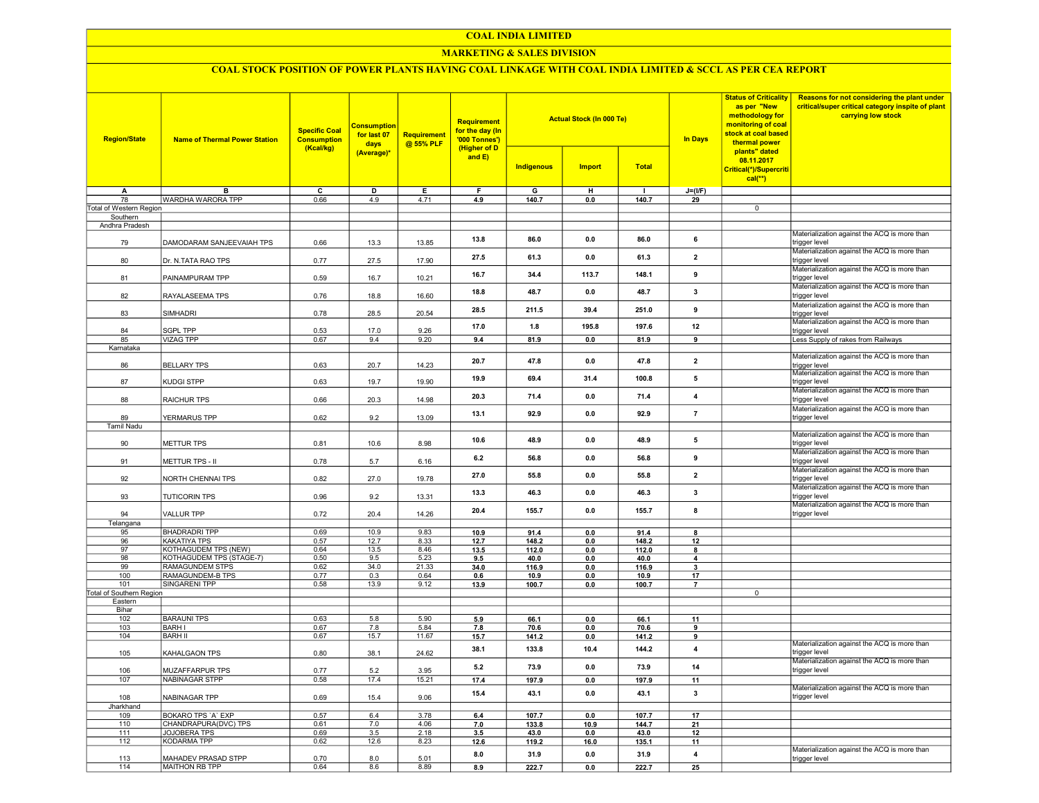#### COAL INDIA LIMITED

## MARKETING & SALES DIVISION

# COAL STOCK POSITION OF POWER PLANTS HAVING COAL LINKAGE WITH COAL INDIA LIMITED & SCCL AS PER CEA REPORT

| <b>Region/State</b>             | <b>Name of Thermal Power Station</b> | <b>Specific Coal</b><br><b>Consumption</b><br>(Kcal/kg) | <b>Consumption</b><br>for last 07<br>days | Requirement<br>@ 55% PLF | Requirement<br>for the day (In<br>'000 Tonnes')<br>(Higher of D |                   | <b>Actual Stock (In 000 Te)</b> |                | <b>In Days</b>          | <b>Status of Criticality</b><br>as per "New<br>methodology for<br>monitoring of coal<br>stock at coal based<br>thermal power<br>plants" dated | Reasons for not considering the plant under<br>critical/super critical category inspite of plant<br>carrying low stock |
|---------------------------------|--------------------------------------|---------------------------------------------------------|-------------------------------------------|--------------------------|-----------------------------------------------------------------|-------------------|---------------------------------|----------------|-------------------------|-----------------------------------------------------------------------------------------------------------------------------------------------|------------------------------------------------------------------------------------------------------------------------|
|                                 |                                      |                                                         | (Average)*                                |                          | and $E$ )                                                       | <b>Indigenous</b> | <b>Import</b>                   | <b>Total</b>   |                         | 08.11.2017<br>Critical(*)/Supercriti<br>$cal(**)$                                                                                             |                                                                                                                        |
| A                               | в                                    | с                                                       | D                                         | Е                        | F.                                                              | G                 | н                               | $\blacksquare$ | $J=(I/F)$               |                                                                                                                                               |                                                                                                                        |
| 78                              | WARDHA WARORA TPP                    | 0.66                                                    | 4.9                                       | 4.71                     | 4.9                                                             | 140.7             | 0.0                             | 140.7          | 29                      |                                                                                                                                               |                                                                                                                        |
| Total of Western Region         |                                      |                                                         |                                           |                          |                                                                 |                   |                                 |                |                         | $\overline{0}$                                                                                                                                |                                                                                                                        |
| Southern                        |                                      |                                                         |                                           |                          |                                                                 |                   |                                 |                |                         |                                                                                                                                               |                                                                                                                        |
| Andhra Pradesh<br>79            | DAMODARAM SANJEEVAIAH TPS            | 0.66                                                    | 13.3                                      | 13.85                    | 13.8                                                            | 86.0              | 0.0                             | 86.0           | 6                       |                                                                                                                                               | Materialization against the ACQ is more than<br>trigger level                                                          |
| 80                              | Dr. N.TATA RAO TPS                   | 0.77                                                    | 27.5                                      | 17.90                    | 27.5                                                            | 61.3              | 0.0                             | 61.3           | $\overline{\mathbf{2}}$ |                                                                                                                                               | Materialization against the ACQ is more than<br>trigger level                                                          |
| 81                              | PAINAMPURAM TPP                      | 0.59                                                    | 16.7                                      | 10.21                    | 16.7                                                            | 34.4              | 113.7                           | 148.1          | 9                       |                                                                                                                                               | Materialization against the ACQ is more than<br>trigger level                                                          |
| 82                              | RAYALASEEMA TPS                      | 0.76                                                    | 18.8                                      | 16.60                    | 18.8                                                            | 48.7              | 0.0                             | 48.7           | 3                       |                                                                                                                                               | Materialization against the ACQ is more than<br>trigger level                                                          |
| 83                              | SIMHADRI                             | 0.78                                                    | 28.5                                      | 20.54                    | 28.5                                                            | 211.5             | 39.4                            | 251.0          | 9                       |                                                                                                                                               | Materialization against the ACQ is more than<br>trigger level                                                          |
| 84<br>85                        | <b>SGPL TPP</b><br><b>VIZAG TPP</b>  | 0.53<br>0.67                                            | 17.0<br>9.4                               | 9.26<br>9.20             | 17.0                                                            | 1.8               | 195.8                           | 197.6          | 12<br>9                 |                                                                                                                                               | Materialization against the ACQ is more than<br>trigger level<br>Less Supply of rakes from Railways                    |
| Karnataka                       |                                      |                                                         |                                           |                          | 9.4                                                             | 81.9              | 0.0                             | 81.9           |                         |                                                                                                                                               |                                                                                                                        |
| 86                              | <b>BELLARY TPS</b>                   | 0.63                                                    | 20.7                                      | 14.23                    | 20.7                                                            | 47.8              | 0.0                             | 47.8           | $\overline{2}$          |                                                                                                                                               | Materialization against the ACQ is more than<br>rigger level                                                           |
| 87                              | KUDGI STPP                           | 0.63                                                    | 19.7                                      | 19.90                    | 19.9                                                            | 69.4              | 31.4                            | 100.8          | 5                       |                                                                                                                                               | Materialization against the ACQ is more than<br>trigger level                                                          |
| 88                              | RAICHUR TPS                          | 0.66                                                    | 20.3                                      | 14.98                    | 20.3                                                            | 71.4              | 0.0                             | 71.4           | 4                       |                                                                                                                                               | Materialization against the ACQ is more than<br>trigger level                                                          |
| 89                              | YERMARUS TPP                         | 0.62                                                    | 9.2                                       | 13.09                    | 13.1                                                            | 92.9              | 0.0                             | 92.9           | $\overline{7}$          |                                                                                                                                               | Materialization against the ACQ is more than<br>trigger level                                                          |
| <b>Tamil Nadu</b><br>90         | METTUR TPS                           | 0.81                                                    | 10.6                                      | 8.98                     | 10.6                                                            | 48.9              | 0.0                             | 48.9           | 5                       |                                                                                                                                               | Materialization against the ACQ is more than<br>trigger level                                                          |
| 91                              | METTUR TPS - II                      | 0.78                                                    | 5.7                                       | 6.16                     | 6.2                                                             | 56.8              | 0.0                             | 56.8           | 9                       |                                                                                                                                               | Materialization against the ACQ is more than<br>trigger level                                                          |
| 92                              | NORTH CHENNAI TPS                    | 0.82                                                    | 27.0                                      | 19.78                    | 27.0                                                            | 55.8              | 0.0                             | 55.8           | $\overline{2}$          |                                                                                                                                               | Materialization against the ACQ is more than<br>trigger level<br>Materialization against the ACQ is more than          |
| 93                              | <b>TUTICORIN TPS</b>                 | 0.96                                                    | 9.2                                       | 13.31                    | 13.3                                                            | 46.3              | 0.0                             | 46.3           | 3                       |                                                                                                                                               | trigger level<br>Materialization against the ACQ is more than                                                          |
| 94                              | <b>VALLUR TPP</b>                    | 0.72                                                    | 20.4                                      | 14.26                    | 20.4                                                            | 155.7             | 0.0                             | 155.7          | $\mathbf{a}$            |                                                                                                                                               | trigger level                                                                                                          |
| Telangana<br>95                 | <b>BHADRADRI TPP</b>                 | 0.69                                                    | 10.9                                      | 9.83                     | 10.9                                                            | 91.4              | 0.0                             | 91.4           | 8                       |                                                                                                                                               |                                                                                                                        |
| 96                              | KAKATIYA TPS                         | 0.57                                                    | 12.7                                      | 8.33                     | 12.7                                                            | 148.2             | 0.0                             | 148.2          | 12                      |                                                                                                                                               |                                                                                                                        |
| 97                              | KOTHAGUDEM TPS (NEW)                 | 0.64                                                    | 13.5                                      | 8.46                     | 13.5                                                            | 112.0             | 0.0                             | 112.0          | 8                       |                                                                                                                                               |                                                                                                                        |
| 98                              | KOTHAGUDEM TPS (STAGE-7)             | 0.50                                                    | 9.5                                       | 5.23                     | 9.5                                                             | 40.0              | 0.0                             | 40.0           | 4                       |                                                                                                                                               |                                                                                                                        |
| 99                              | <b>RAMAGUNDEM STPS</b>               | 0.62                                                    | 34.0                                      | 21.33                    | 34.0                                                            | 116.9             | 0.0                             | 116.9          | 3                       |                                                                                                                                               |                                                                                                                        |
| 100                             | RAMAGUNDEM-B TPS                     | 0.77                                                    | 0.3                                       | 0.64                     | 0.6                                                             | 10.9              | 0.0                             | 10.9           | 17                      |                                                                                                                                               |                                                                                                                        |
| 101<br>Total of Southern Region | <b>SINGARENI TPP</b>                 | 0.58                                                    | 13.9                                      | 9.12                     | 13.9                                                            | 100.7             | 0.0                             | 100.7          | $\overline{7}$          | $\overline{0}$                                                                                                                                |                                                                                                                        |
| Eastern                         |                                      |                                                         |                                           |                          |                                                                 |                   |                                 |                |                         |                                                                                                                                               |                                                                                                                        |
| Bihar                           |                                      |                                                         |                                           |                          |                                                                 |                   |                                 |                |                         |                                                                                                                                               |                                                                                                                        |
| 102                             | <b>BARAUNI TPS</b>                   | 0.63                                                    | 5.8                                       | 5.90                     | 5.9                                                             | 66.1              | 0.0                             | 66.1           | 11                      |                                                                                                                                               |                                                                                                                        |
| 103                             | <b>BARH I</b>                        | 0.67                                                    | 7.8                                       | 5.84                     | 7.8                                                             | 70.6              | 0.0                             | 70.6           | 9                       |                                                                                                                                               |                                                                                                                        |
| 104                             | <b>BARH II</b>                       | 0.67                                                    | 15.7                                      | 11.67                    | 15.7                                                            | 141.2             | 0.0                             | 141.2          | 9                       |                                                                                                                                               |                                                                                                                        |
| 105                             | KAHALGAON TPS                        | 0.80                                                    | 38.1                                      | 24.62                    | 38.1                                                            | 133.8             | 10.4                            | 144.2          | $\overline{4}$          |                                                                                                                                               | Materialization against the ACQ is more than<br>trigger level                                                          |
| 106                             | MUZAFFARPUR TPS                      | 0.77                                                    | 5.2                                       | 3.95                     | 5.2                                                             | 73.9              | 0.0                             | 73.9           | 14                      |                                                                                                                                               | Materialization against the ACQ is more than<br>trigger level                                                          |
| 107                             | <b>NABINAGAR STPP</b>                | 0.58                                                    | 17.4                                      | 15.21                    | 17.4                                                            | 197.9             | 0.0                             | 197.9          | 11                      |                                                                                                                                               | Materialization against the ACQ is more than                                                                           |
| 108<br>Jharkhand                | NABINAGAR TPP                        | 0.69                                                    | 15.4                                      | 9.06                     | 15.4                                                            | 43.1              | 0.0                             | 43.1           | $\mathbf{3}$            |                                                                                                                                               | trigger level                                                                                                          |
| 109                             | <b>BOKARO TPS 'A' EXP</b>            | 0.57                                                    | 6.4                                       | 3.78                     | 6.4                                                             | 107.7             | 0.0                             | 107.7          | 17                      |                                                                                                                                               |                                                                                                                        |
| 110                             | CHANDRAPURA(DVC) TPS                 | 0.61                                                    | 7.0                                       | 4.06                     | 7.0                                                             | 133.8             | 10.9                            | 144.7          | 21                      |                                                                                                                                               |                                                                                                                        |
| 111                             | JOJOBERA TPS                         | 0.69                                                    | 3.5                                       | 2.18                     | 3.5                                                             | 43.0              | 0.0                             | 43.0           | 12                      |                                                                                                                                               |                                                                                                                        |
| 112                             | <b>KODARMA TPP</b>                   | 0.62                                                    | 12.6                                      | 8.23                     | 12.6                                                            | 119.2             | 16.0                            | 135.1          | 11                      |                                                                                                                                               |                                                                                                                        |
| 113                             | MAHADEV PRASAD STPP                  | 0.70                                                    | 8.0                                       | 5.01                     | 8.0                                                             | 31.9              | 0.0                             | 31.9           | 4                       |                                                                                                                                               | Materialization against the ACQ is more than<br>trigger level                                                          |
| 114                             | MAITHON RB TPP                       | 0.64                                                    | 8.6                                       | 8.89                     | 8.9                                                             | 222.7             | 0.0                             | 222.7          | 25                      |                                                                                                                                               |                                                                                                                        |